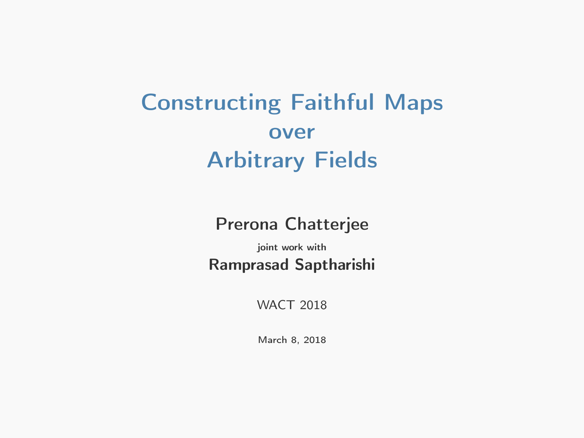# Constructing Faithful Maps over Arbitrary Fields

Prerona Chatterjee

joint work with Ramprasad Saptharishi

WACT 2018

March 8, 2018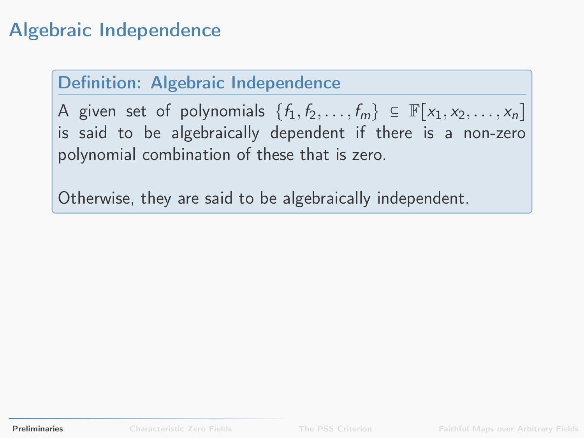#### Definition: Algebraic Independence

A given set of polynomials  $\{f_1, f_2, \ldots, f_m\} \subseteq \mathbb{F}[x_1, x_2, \ldots, x_n]$ is said to be algebraically dependent if there is a non-zero polynomial combination of these that is zero.

<span id="page-1-0"></span>Otherwise, they are said to be algebraically independent.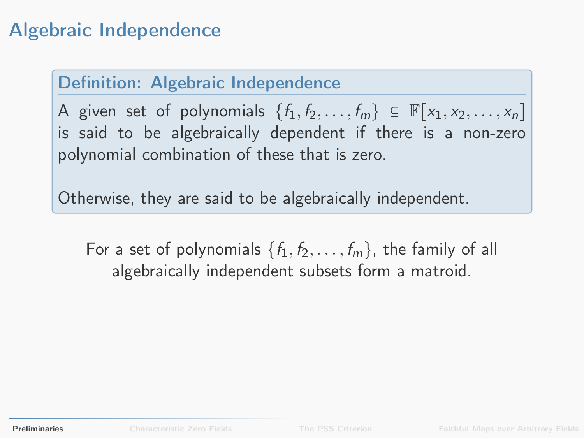#### Definition: Algebraic Independence

A given set of polynomials  $\{f_1, f_2, \ldots, f_m\} \subseteq \mathbb{F}[x_1, x_2, \ldots, x_n]$ is said to be algebraically dependent if there is a non-zero polynomial combination of these that is zero.

Otherwise, they are said to be algebraically independent.

For a set of polynomials  $\{f_1, f_2, \ldots, f_m\}$ , the family of all algebraically independent subsets form a matroid.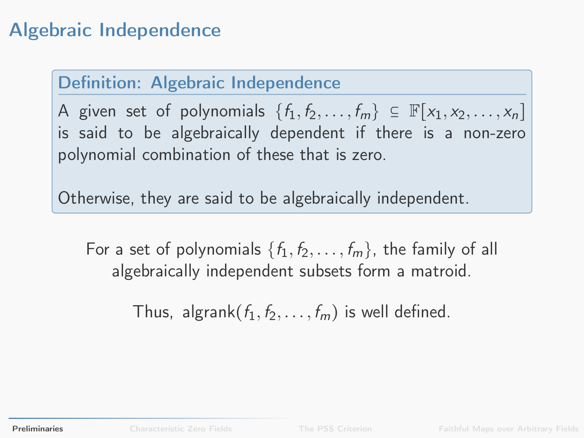#### Definition: Algebraic Independence

A given set of polynomials  $\{f_1, f_2, \ldots, f_m\} \subseteq \mathbb{F}[x_1, x_2, \ldots, x_n]$ is said to be algebraically dependent if there is a non-zero polynomial combination of these that is zero.

Otherwise, they are said to be algebraically independent.

For a set of polynomials  $\{f_1, f_2, \ldots, f_m\}$ , the family of all algebraically independent subsets form a matroid.

Thus, algrank $(f_1, f_2, \ldots, f_m)$  is well defined.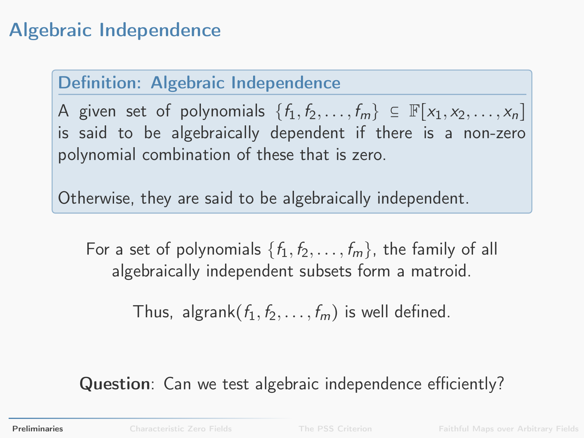#### Definition: Algebraic Independence

A given set of polynomials  $\{f_1, f_2, \ldots, f_m\} \subseteq \mathbb{F}[x_1, x_2, \ldots, x_n]$ is said to be algebraically dependent if there is a non-zero polynomial combination of these that is zero.

Otherwise, they are said to be algebraically independent.

For a set of polynomials  $\{f_1, f_2, \ldots, f_m\}$ , the family of all algebraically independent subsets form a matroid.

Thus, algrank $(f_1, f_2, \ldots, f_m)$  is well defined.

Question: Can we test algebraic independence efficiently?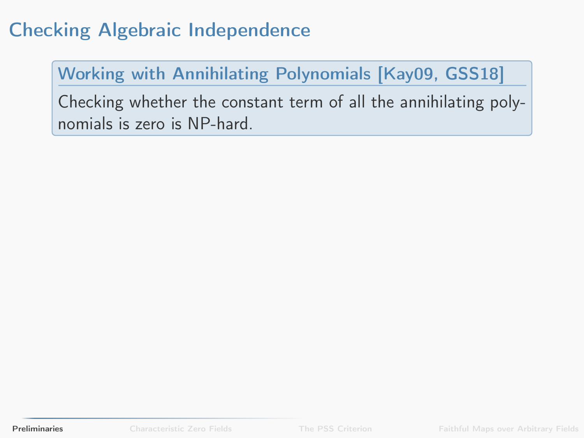### Checking Algebraic Independence

#### Working with Annihilating Polynomials [\[Kay09,](#page-91-0) [GSS18\]](#page-91-1)

Checking whether the constant term of all the annihilating polynomials is zero is NP-hard.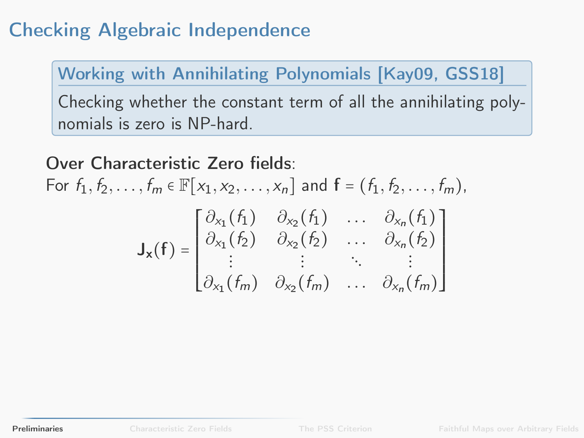### Checking Algebraic Independence

Working with Annihilating Polynomials [\[Kay09,](#page-91-0) [GSS18\]](#page-91-1)

Checking whether the constant term of all the annihilating polynomials is zero is NP-hard.

Over Characteristic Zero fields: For  $f_1, f_2, \ldots, f_m \in \mathbb{F}[x_1, x_2, \ldots, x_n]$  and  $f = (f_1, f_2, \ldots, f_m)$ ,  $J_{x}(f) =$ ⎡ ⎢ ⎢ ⎢ ⎢ ⎢ ⎢ ⎢ ⎣  $\partial_{x_1}(f_1) \quad \partial_{x_2}(f_1) \quad \dots \quad \partial_{x_n}(f_1)$  $\partial_{x_1}(f_2) \quad \partial_{x_2}(f_2) \quad \dots \quad \partial_{x_n}(f_2)$  $\mathbf{i}$   $\mathbf{j}$   $\mathbf{k}$   $\mathbf{k}$   $\mathbf{k}$   $\mathbf{k}$   $\mathbf{k}$   $\mathbf{k}$   $\mathbf{k}$   $\mathbf{k}$  $\partial_{x_1}(f_m) \quad \partial_{x_2}(f_m) \quad \dots \quad \partial_{x_n}(f_m)$  $\begin{bmatrix} \frac{1}{2} & \frac{1}{2} \\ \frac{1}{2} & \frac{1}{2} \\ \frac{1}{2} & \frac{1}{2} \\ \frac{1}{2} & \frac{1}{2} \\ \frac{1}{2} & \frac{1}{2} \\ \frac{1}{2} & \frac{1}{2} \\ \frac{1}{2} & \frac{1}{2} \\ \frac{1}{2} & \frac{1}{2} \\ \frac{1}{2} & \frac{1}{2} \\ \frac{1}{2} & \frac{1}{2} \\ \frac{1}{2} & \frac{1}{2} \\ \frac{1}{2} & \frac{1}{2} \\ \frac{1}{2} & \frac{1}{2} \\ \frac{1}{2$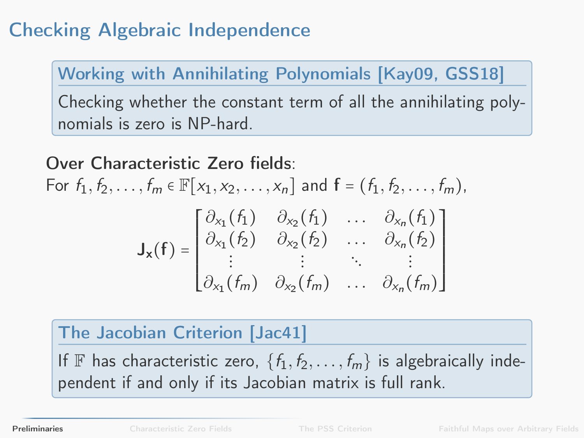### Checking Algebraic Independence

Working with Annihilating Polynomials [\[Kay09,](#page-91-0) [GSS18\]](#page-91-1)

Checking whether the constant term of all the annihilating polynomials is zero is NP-hard.

Over Characteristic Zero fields: For  $f_1, f_2, \ldots, f_m \in \mathbb{F}[x_1, x_2, \ldots, x_n]$  and  $f = (f_1, f_2, \ldots, f_m)$ ,  $J_{x}(f) =$ ⎡ ⎢ ⎢ ⎢ ⎢ ⎢ ⎢ ⎢ ⎣  $\partial_{x_1}(f_1) \quad \partial_{x_2}(f_1) \quad \dots \quad \partial_{x_n}(f_1)$  $\partial_{x_1}(f_2) \quad \partial_{x_2}(f_2) \quad \dots \quad \partial_{x_n}(f_2)$  $\mathbf{i}$   $\mathbf{j}$   $\mathbf{k}$   $\mathbf{k}$   $\mathbf{k}$   $\mathbf{k}$   $\mathbf{k}$   $\mathbf{k}$   $\mathbf{k}$   $\mathbf{k}$  $\partial_{x_1}(f_m) \quad \partial_{x_2}(f_m) \quad \dots \quad \partial_{x_n}(f_m)$  $\begin{bmatrix} \frac{1}{2} & \frac{1}{2} \\ \frac{1}{2} & \frac{1}{2} \\ \frac{1}{2} & \frac{1}{2} \\ \frac{1}{2} & \frac{1}{2} \\ \frac{1}{2} & \frac{1}{2} \\ \frac{1}{2} & \frac{1}{2} \\ \frac{1}{2} & \frac{1}{2} \\ \frac{1}{2} & \frac{1}{2} \\ \frac{1}{2} & \frac{1}{2} \\ \frac{1}{2} & \frac{1}{2} \\ \frac{1}{2} & \frac{1}{2} \\ \frac{1}{2} & \frac{1}{2} \\ \frac{1}{2} & \frac{1}{2} \\ \frac{1}{2$ 

#### The Jacobian Criterion [\[Jac41\]](#page-91-2)

If F has characteristic zero,  $\{f_1, f_2, \ldots, f_m\}$  is algebraically independent if and only if its Jacobian matrix is full rank.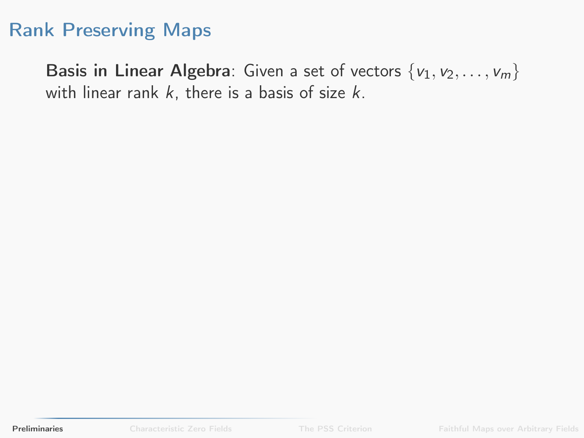Basis in Linear Algebra: Given a set of vectors  $\{v_1, v_2, \ldots, v_m\}$ with linear rank  $k$ , there is a basis of size  $k$ .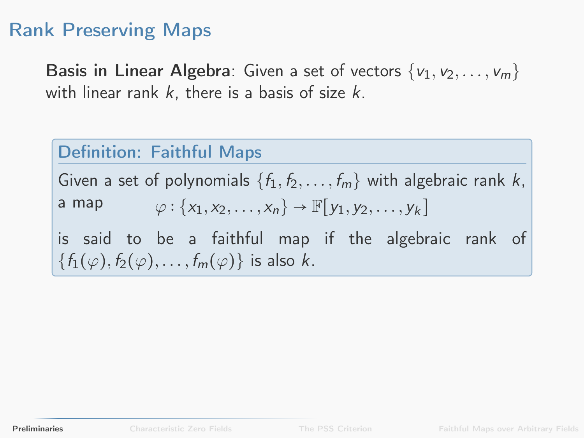Basis in Linear Algebra: Given a set of vectors  $\{v_1, v_2, \ldots, v_m\}$ with linear rank  $k$ , there is a basis of size  $k$ .

#### Definition: Faithful Maps

Given a set of polynomials  $\{f_1, f_2, \ldots, f_m\}$  with algebraic rank k, a map  $\varphi : \{x_1, x_2, \ldots, x_n\} \to \mathbb{F}[y_1, y_2, \ldots, y_k]$ is said to be a faithful map if the algebraic rank of  $\{f_1(\varphi), f_2(\varphi), \ldots, f_m(\varphi)\}\$ is also k.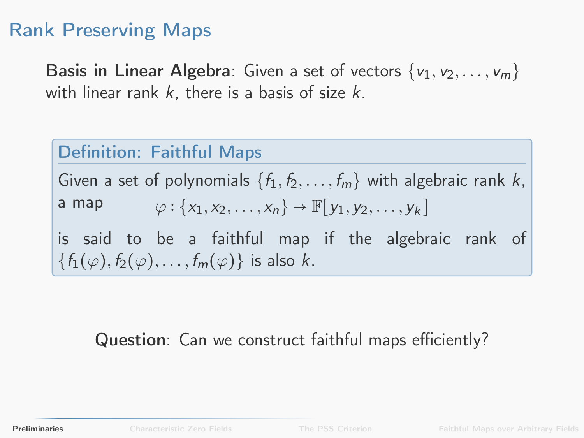Basis in Linear Algebra: Given a set of vectors  $\{v_1, v_2, \ldots, v_m\}$ with linear rank  $k$ , there is a basis of size  $k$ .

#### Definition: Faithful Maps

Given a set of polynomials  $\{f_1, f_2, \ldots, f_m\}$  with algebraic rank k, a map  $\varphi: \{x_1, x_2, \ldots, x_n\} \to \mathbb{F}[y_1, y_2, \ldots, y_k]$ is said to be a faithful map if the algebraic rank of  ${f_1(\varphi), f_2(\varphi), \ldots, f_m(\varphi)}$  is also k.

#### Question: Can we construct faithful maps efficiently?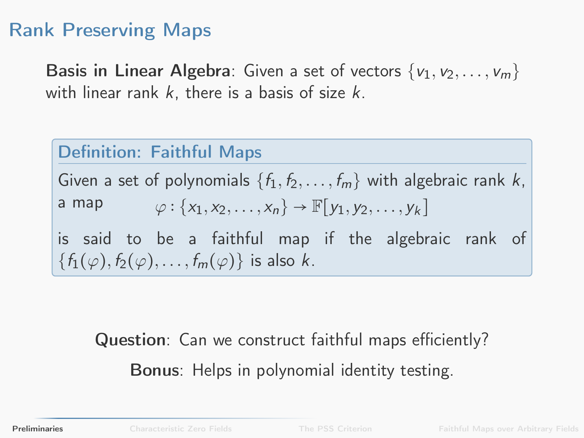Basis in Linear Algebra: Given a set of vectors  $\{v_1, v_2, \ldots, v_m\}$ with linear rank  $k$ , there is a basis of size  $k$ .

#### Definition: Faithful Maps

Given a set of polynomials  $\{f_1, f_2, \ldots, f_m\}$  with algebraic rank k, a map  $\varphi: \{x_1, x_2, \ldots, x_n\} \to \mathbb{F}[y_1, y_2, \ldots, y_k]$ is said to be a faithful map if the algebraic rank of  $\{f_1(\varphi), f_2(\varphi), \ldots, f_m(\varphi)\}\;$  is also k.

## Question: Can we construct faithful maps efficiently? Bonus: Helps in polynomial identity testing.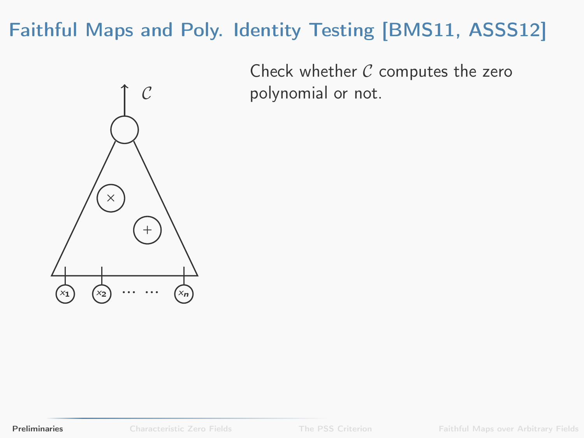

Check whether  $C$  computes the zero polynomial or not.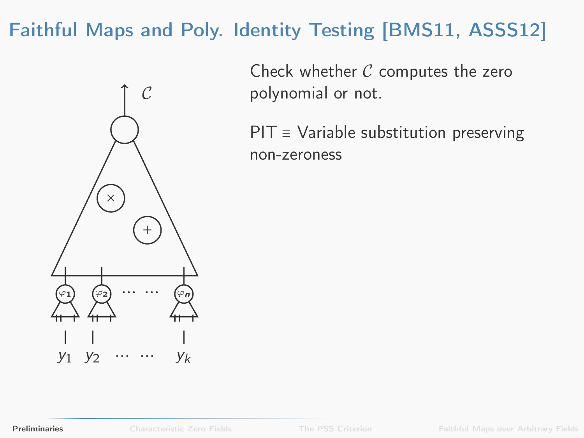

Check whether  $C$  computes the zero polynomial or not.

PIT ≡ Variable substitution preserving non-zeroness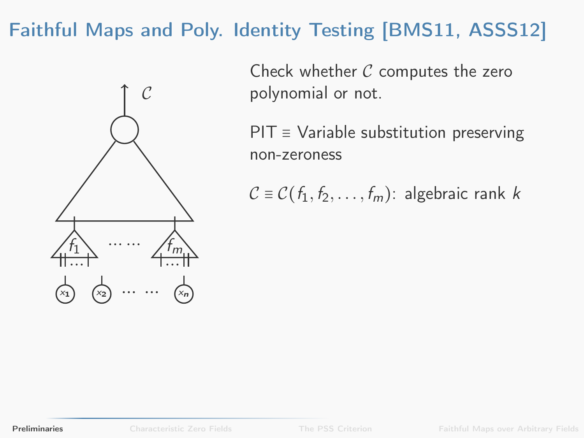

Check whether  $C$  computes the zero polynomial or not.

 $PIT \equiv$  Variable substitution preserving non-zeroness

 $C \equiv C(f_1, f_2, \ldots, f_m)$ : algebraic rank k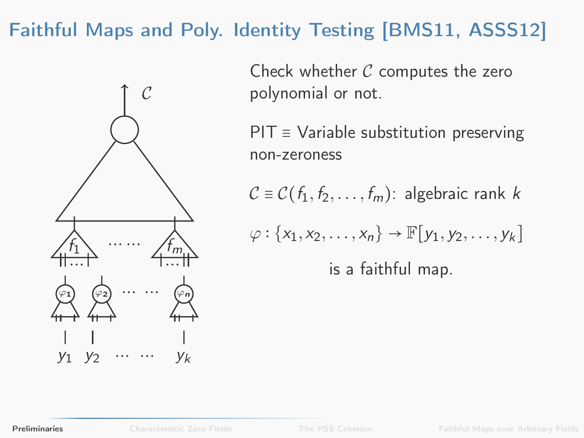

Check whether  $C$  computes the zero polynomial or not.

 $PIT \equiv$  Variable substitution preserving non-zeroness

 $C \equiv C(f_1, f_2, \ldots, f_m)$ : algebraic rank k

$$
\varphi: \{x_1, x_2, \dots, x_n\} \to \mathbb{F}[y_1, y_2, \dots, y_k]
$$
  
is a faithful map.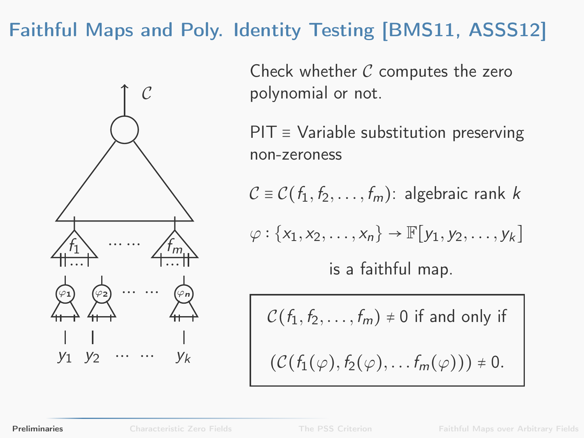

Check whether  $C$  computes the zero polynomial or not.

 $PIT \equiv$  Variable substitution preserving non-zeroness

 $C \equiv C(f_1, f_2, \ldots, f_m)$ : algebraic rank k

$$
\varphi: \{x_1, x_2, \ldots, x_n\} \to \mathbb{F}[y_1, y_2, \ldots, y_k]
$$

is a faithful map.

$$
C(f_1, f_2, \dots, f_m) \neq 0 \text{ if and only if}
$$

$$
(C(f_1(\varphi), f_2(\varphi), \dots, f_m(\varphi))) \neq 0.
$$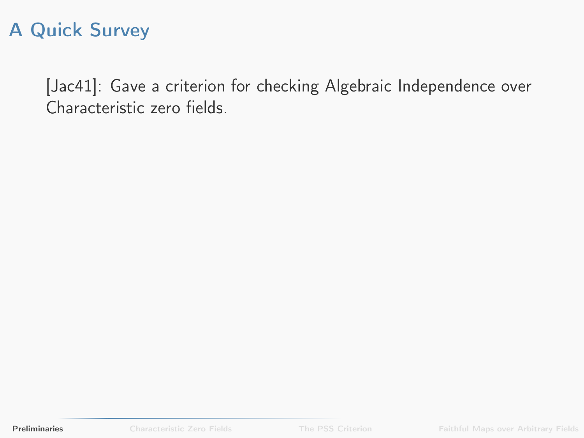[\[Jac41\]](#page-91-2): Gave a criterion for checking Algebraic Independence over Characteristic zero fields.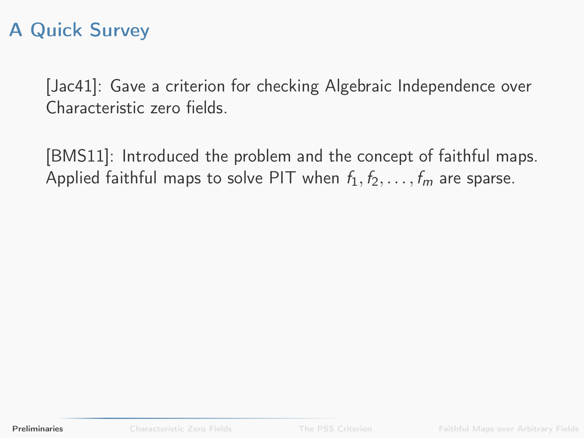[\[Jac41\]](#page-91-2): Gave a criterion for checking Algebraic Independence over Characteristic zero fields.

[\[BMS11\]](#page-90-0): Introduced the problem and the concept of faithful maps. Applied faithful maps to solve PIT when  $f_1, f_2, \ldots, f_m$  are sparse.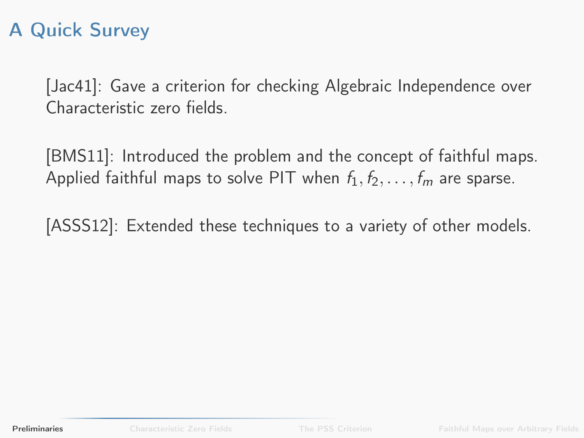[\[Jac41\]](#page-91-2): Gave a criterion for checking Algebraic Independence over Characteristic zero fields.

[\[BMS11\]](#page-90-0): Introduced the problem and the concept of faithful maps. Applied faithful maps to solve PIT when  $f_1, f_2, \ldots, f_m$  are sparse.

[\[ASSS12\]](#page-90-1): Extended these techniques to a variety of other models.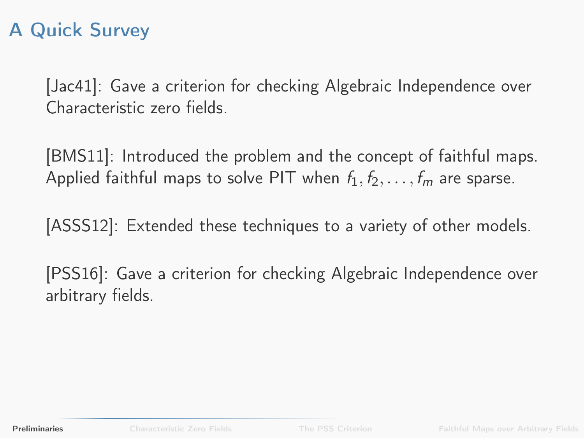[\[Jac41\]](#page-91-2): Gave a criterion for checking Algebraic Independence over Characteristic zero fields.

[\[BMS11\]](#page-90-0): Introduced the problem and the concept of faithful maps. Applied faithful maps to solve PIT when  $f_1, f_2, \ldots, f_m$  are sparse.

[\[ASSS12\]](#page-90-1): Extended these techniques to a variety of other models.

[\[PSS16\]](#page-92-0): Gave a criterion for checking Algebraic Independence over arbitrary fields.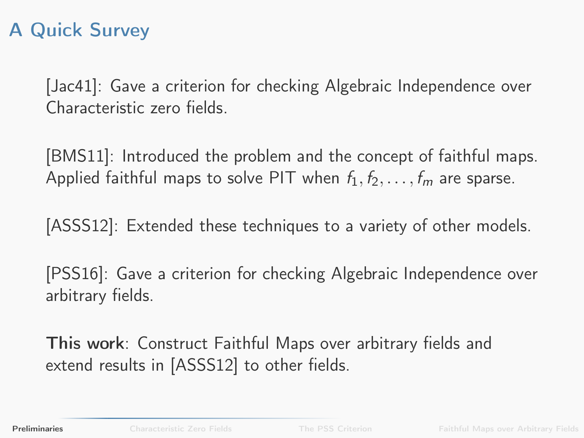[\[Jac41\]](#page-91-2): Gave a criterion for checking Algebraic Independence over Characteristic zero fields.

[\[BMS11\]](#page-90-0): Introduced the problem and the concept of faithful maps. Applied faithful maps to solve PIT when  $f_1, f_2, \ldots, f_m$  are sparse.

[\[ASSS12\]](#page-90-1): Extended these techniques to a variety of other models.

[\[PSS16\]](#page-92-0): Gave a criterion for checking Algebraic Independence over arbitrary fields.

This work: Construct Faithful Maps over arbitrary fields and extend results in [\[ASSS12\]](#page-90-1) to other fields.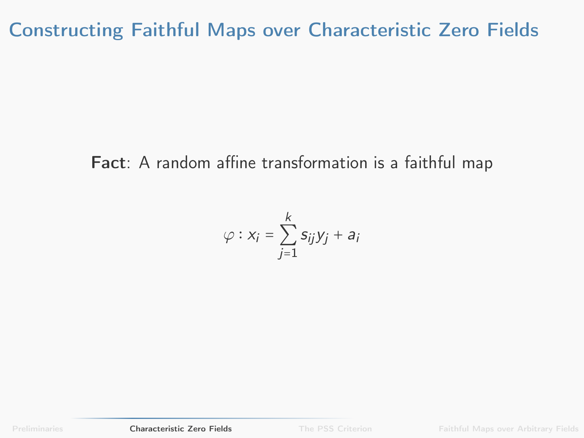#### Fact: A random affine transformation is a faithful map

<span id="page-22-0"></span>
$$
\varphi: x_i = \sum_{j=1}^k s_{ij} y_j + a_i
$$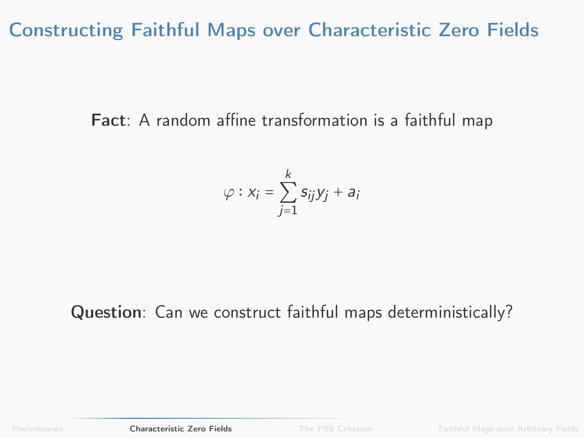Fact: A random affine transformation is a faithful map

$$
\varphi: x_i = \sum_{j=1}^k s_{ij} y_j + a_i
$$

#### Question: Can we construct faithful maps deterministically?

[Preliminaries](#page-1-0) **[Characteristic Zero Fields](#page-22-0)** [The PSS Criterion](#page-34-0) [Faithful Maps over Arbitrary Fields](#page-49-0)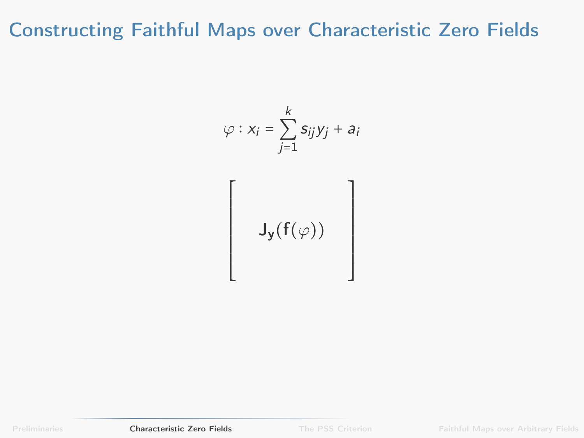$$
\varphi : x_i = \sum_{j=1}^k s_{ij} y_j + a_i
$$
  
  

$$
\mathsf{J}_\mathbf{y}(\mathbf{f}(\varphi))
$$

[Preliminaries](#page-1-0) **[Characteristic Zero Fields](#page-22-0)** [The PSS Criterion](#page-34-0) [Faithful Maps over Arbitrary Fields](#page-49-0)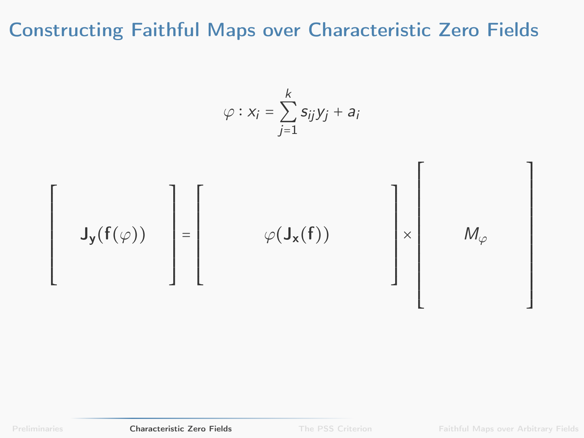$$
\varphi : x_i = \sum_{j=1}^k s_{ij} y_j + a_i
$$
  
  

$$
\mathcal{J}_y(f(\varphi)) = \begin{bmatrix} \varphi(\mathbf{J}_x(f)) & \mathbf{J}_x \\ \varphi(\mathbf{J}_x(f)) & \mathbf{J}_x \end{bmatrix} \times M_\varphi
$$

[Preliminaries](#page-1-0) **[Characteristic Zero Fields](#page-22-0)** [The PSS Criterion](#page-34-0) [Faithful Maps over Arbitrary Fields](#page-49-0)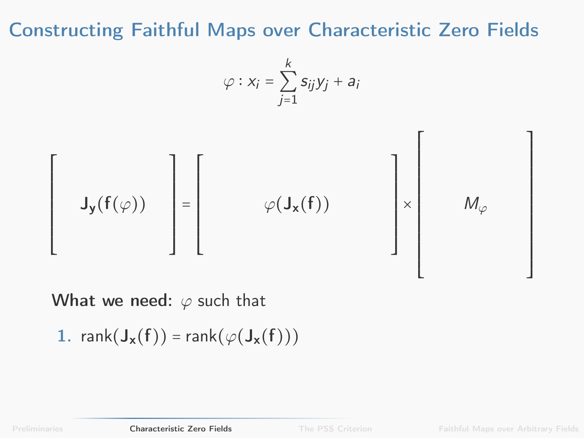$$
\varphi: x_i = \sum_{j=1}^k s_{ij} y_j + a_i
$$



What we need:  $\varphi$  such that

1. 
$$
rank(J_{x}(f)) = rank(\varphi(J_{x}(f)))
$$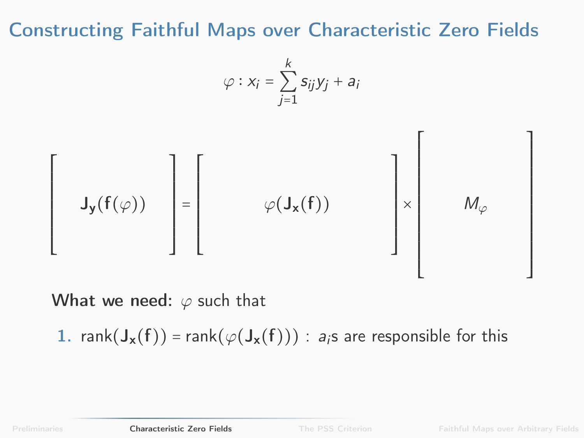$$
\varphi: x_i = \sum_{j=1}^k s_{ij} y_j + a_i
$$

$$
\left[\begin{array}{c} \mathsf{J}_{\mathsf{y}}(\mathsf{f}(\varphi)) \end{array}\right] = \left[\begin{array}{c} \varphi(\mathsf{J}_{\mathsf{x}}(\mathsf{f})) \end{array}\right] \times \left[\begin{array}{c} \mathsf{M}_{\varphi} \end{array}\right]
$$

What we need:  $\varphi$  such that

1. rank $(J_x(f))$  = rank $(\varphi(J_x(f)))$  : a<sub>i</sub>s are responsible for this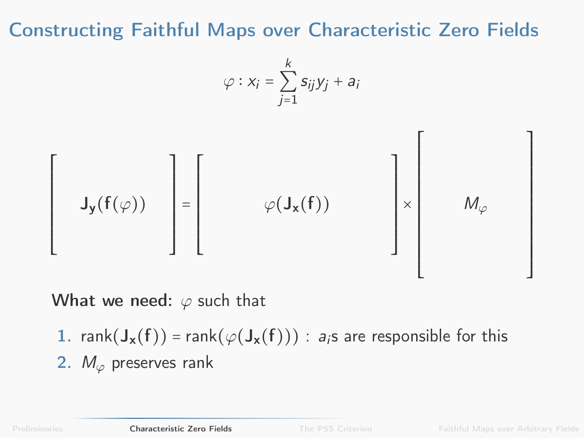$$
\varphi: x_i = \sum_{j=1}^k s_{ij} y_j + a_i
$$

$$
\left[\begin{array}{c} \mathsf{J}_{\mathsf{y}}(\mathsf{f}(\varphi)) \end{array}\right] = \left[\begin{array}{c} \varphi(\mathsf{J}_{\mathsf{x}}(\mathsf{f})) \end{array}\right] \times \left[\begin{array}{c} \mathsf{M}_{\varphi} \end{array}\right]
$$

What we need:  $\varphi$  such that

1. rank( $J_x(f)$ ) = rank( $\varphi(J_x(f))$ ) : a<sub>i</sub>s are responsible for this 2.  $M_{\varphi}$  preserves rank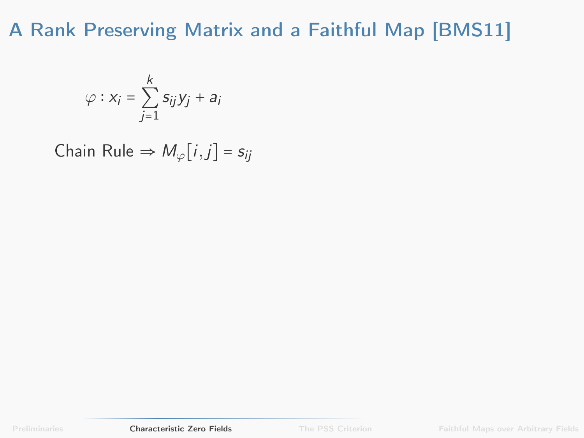$$
\varphi: x_i = \sum_{j=1}^k s_{ij} y_j + a_i
$$

Chain Rule  $\Rightarrow M_{\varphi}[i,j] = s_{ij}$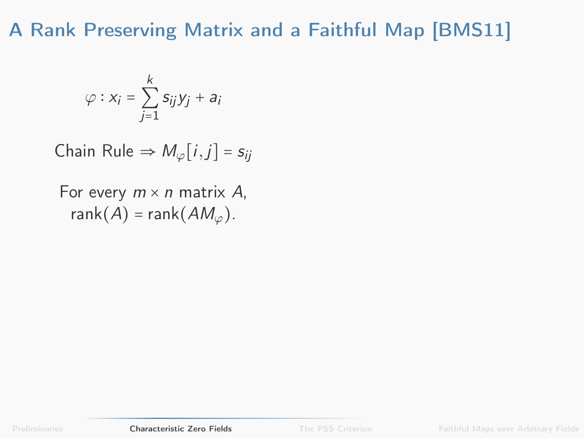$$
\varphi: x_i = \sum_{j=1}^k s_{ij} y_j + a_i
$$

Chain Rule  $\Rightarrow M_{\varphi}[i,j] = s_{ij}$ 

For every  $m \times n$  matrix A, rank $(A)$  = rank $(AM_{\varphi})$ .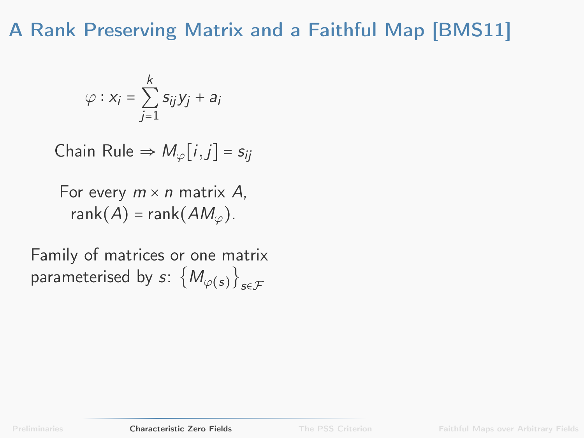$$
\varphi: x_i = \sum_{j=1}^k s_{ij} y_j + a_i
$$

Chain Rule  $\Rightarrow M_{\varphi}[i,j] = s_{ii}$ 

For every  $m \times n$  matrix A, rank $(A)$  = rank $(AM_{\varphi})$ .

Family of matrices or one matrix parameterised by  $s\colon \left\{\mathit{M}_{\varphi(s)}\right\}_{s\in\mathcal{F}}$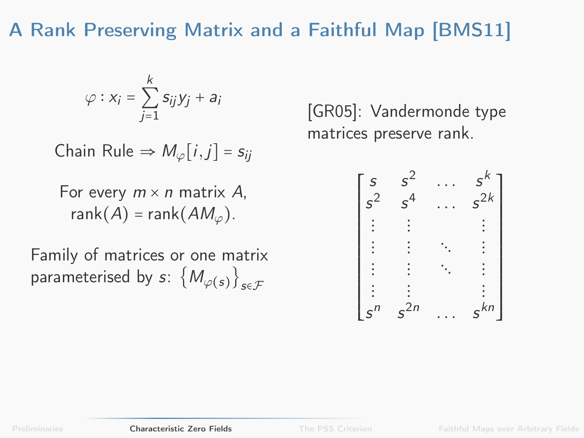$$
\varphi: x_i = \sum_{j=1}^k s_{ij} y_j + a_i
$$

Chain Rule  $\Rightarrow M_{\varphi}[i,j] = s_{ii}$ 

For every  $m \times n$  matrix A, rank $(A)$  = rank $(AM_{\varphi})$ .

Family of matrices or one matrix parameterised by  $s\colon \left\{\mathit{M}_{\varphi(s)}\right\}_{s\in\mathcal{F}}$ 

[\[GR05\]](#page-90-2): Vandermonde type matrices preserve rank.

| S     | $s^2$    | $s^k$    |
|-------|----------|----------|
| $s^2$ | $s^4$    | $s^{2k}$ |
|       |          |          |
|       |          |          |
|       |          |          |
|       |          |          |
| $s^n$ | $s^{2n}$ | $s^{kn}$ |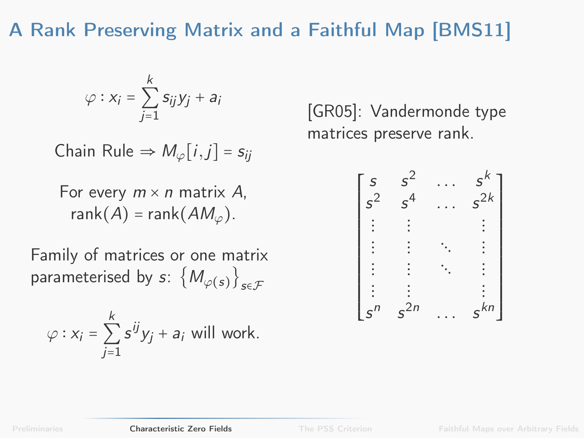$$
\varphi: x_i = \sum_{j=1}^k s_{ij} y_j + a_i
$$

Chain Rule  $\Rightarrow M_{\varphi}[i,j] = s_{ii}$ 

For every  $m \times n$  matrix A, rank $(A)$  = rank $(AM_{\varphi})$ .

Family of matrices or one matrix parameterised by  $s\colon \left\{\mathit{M}_{\varphi(s)}\right\}_{s\in\mathcal{F}}$ 

$$
\varphi: x_i = \sum_{j=1}^k s^{ij} y_j + a_i \text{ will work.}
$$

[\[GR05\]](#page-90-2): Vandermonde type matrices preserve rank.

| S     | $^{2}$      |          |
|-------|-------------|----------|
| $s^2$ | $\varsigma$ | $s^{2k}$ |
|       |             |          |
|       |             |          |
|       |             |          |
|       |             |          |
| $s^n$ | $s^{2n}$    | $s^{kn}$ |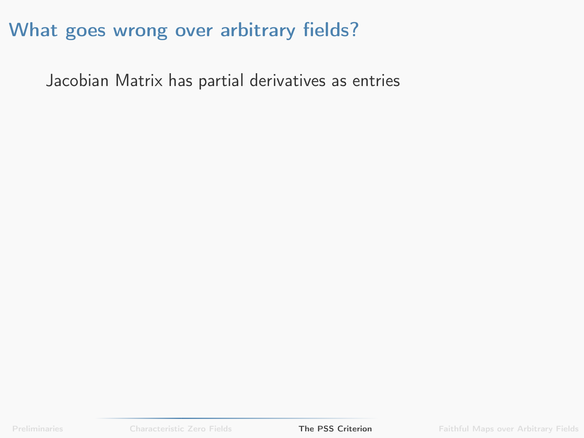### What goes wrong over arbitrary fields?

<span id="page-34-0"></span>Jacobian Matrix has partial derivatives as entries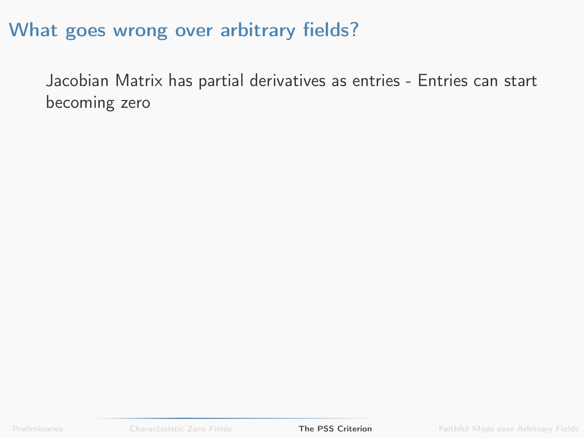### What goes wrong over arbitrary fields?

Jacobian Matrix has partial derivatives as entries - Entries can start becoming zero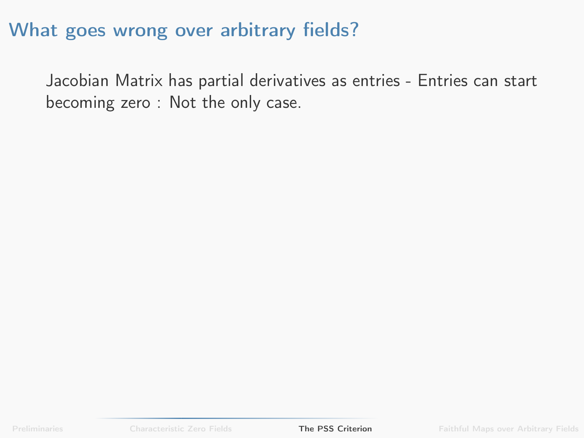Jacobian Matrix has partial derivatives as entries - Entries can start becoming zero : Not the only case.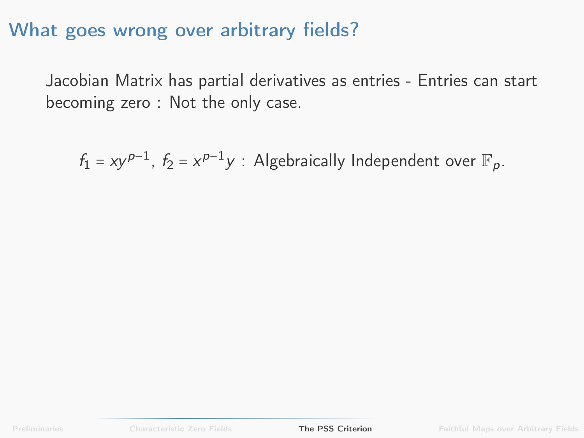Jacobian Matrix has partial derivatives as entries - Entries can start becoming zero : Not the only case.

 $f_1 = xy^{p-1}$ ,  $f_2 = x^{p-1}y$ : Algebraically Independent over  $\mathbb{F}_p$ .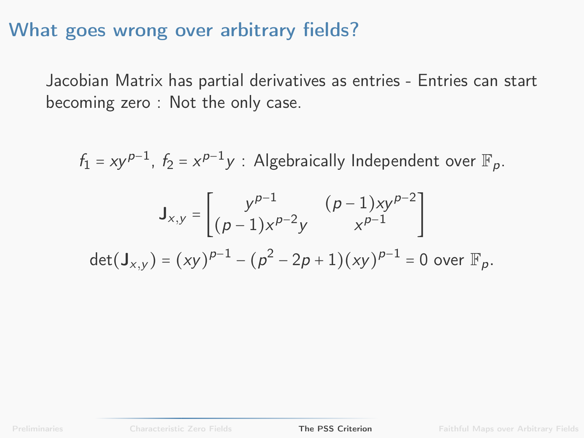Jacobian Matrix has partial derivatives as entries - Entries can start becoming zero : Not the only case.

 $f_1 = xy^{p-1}$ ,  $f_2 = x^{p-1}y$ : Algebraically Independent over  $\mathbb{F}_p$ .

$$
\mathbf{J}_{x,y} = \begin{bmatrix} y^{p-1} & (p-1)xy^{p-2} \\ (p-1)x^{p-2}y & x^{p-1} \end{bmatrix}
$$
\n
$$
\det(\mathbf{J}_{x,y}) = (xy)^{p-1} - (p^2 - 2p + 1)(xy)^{p-1} = 0 \text{ over } \mathbb{F}_p.
$$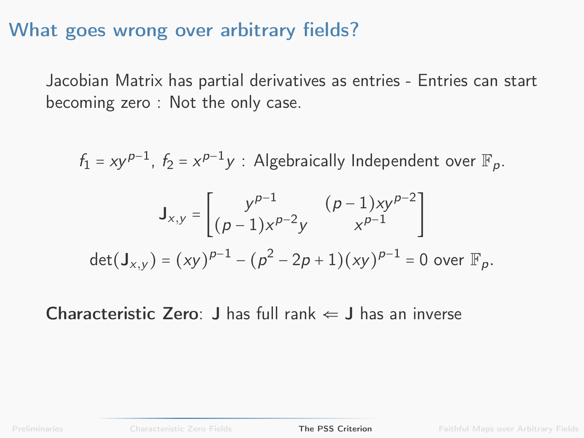Jacobian Matrix has partial derivatives as entries - Entries can start becoming zero : Not the only case.

$$
f_1 = xy^{p-1}, f_2 = x^{p-1}y : \text{Algebraically Independent over } \mathbb{F}_p.
$$
\n
$$
J_{x,y} = \begin{bmatrix} y^{p-1} & (p-1)xy^{p-2} \\ (p-1)x^{p-2}y & x^{p-1} \end{bmatrix}
$$
\n
$$
\det(J_{x,y}) = (xy)^{p-1} - (p^2 - 2p + 1)(xy)^{p-1} = 0 \text{ over } \mathbb{F}_p.
$$

Characteristic Zero: J has full rank  $\Leftarrow$  J has an inverse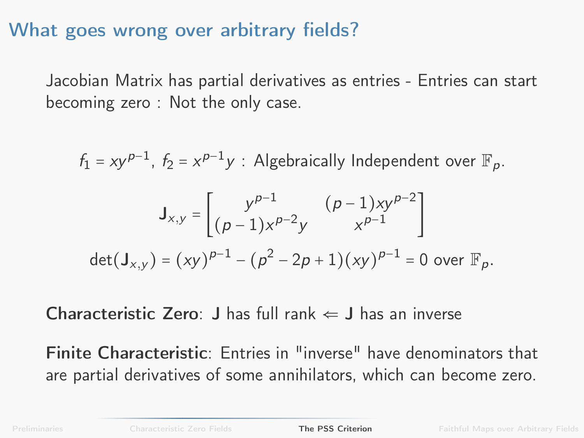Jacobian Matrix has partial derivatives as entries - Entries can start becoming zero : Not the only case.

$$
f_1 = xy^{p-1}, f_2 = x^{p-1}y : \text{Algebraically Independent over } \mathbb{F}_p.
$$
\n
$$
J_{x,y} = \begin{bmatrix} y^{p-1} & (p-1)xy^{p-2} \\ (p-1)x^{p-2}y & x^{p-1} \end{bmatrix}
$$
\n
$$
\det(J_{x,y}) = (xy)^{p-1} - (p^2 - 2p + 1)(xy)^{p-1} = 0 \text{ over } \mathbb{F}_p.
$$

**Characteristic Zero:** J has full rank  $\Leftarrow$  J has an inverse

Finite Characteristic: Entries in "inverse" have denominators that are partial derivatives of some annihilators, which can become zero.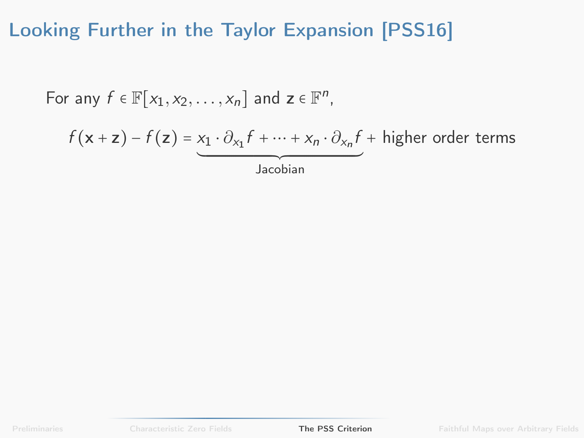For any 
$$
f \in \mathbb{F}[x_1, x_2, ..., x_n]
$$
 and  $z \in \mathbb{F}^n$ ,  
\n
$$
f(x + z) - f(z) = x_1 \cdot \partial_{x_1} f + \dots + x_n \cdot \partial_{x_n} f + \text{higher order terms}
$$
\nJacobian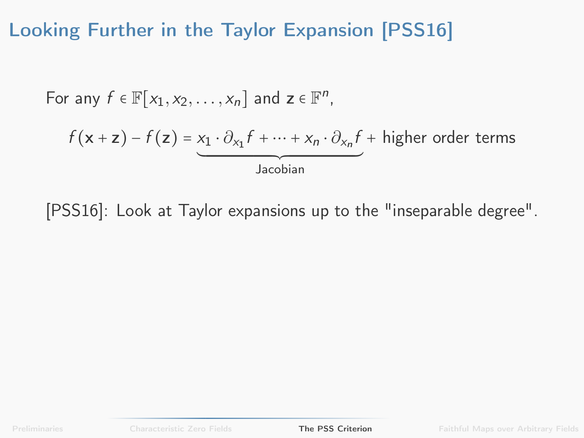For any 
$$
f \in \mathbb{F}[x_1, x_2, ..., x_n]
$$
 and  $z \in \mathbb{F}^n$ ,  
\n
$$
f(x + z) - f(z) = x_1 \cdot \partial_{x_1} f + \dots + x_n \cdot \partial_{x_n} f + \text{higher order terms}
$$
\nJacobian

[\[PSS16\]](#page-92-0): Look at Taylor expansions up to the "inseparable degree".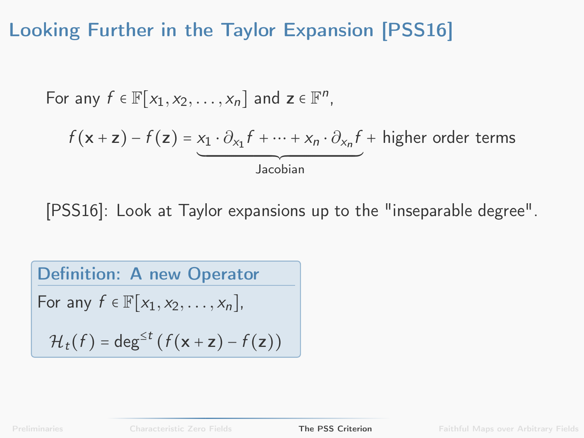For any 
$$
f \in \mathbb{F}[x_1, x_2, ..., x_n]
$$
 and  $z \in \mathbb{F}^n$ ,  
\n
$$
f(x + z) - f(z) = x_1 \cdot \partial_{x_1} f + \dots + x_n \cdot \partial_{x_n} f + \text{higher order terms}
$$
\nJacobian

[\[PSS16\]](#page-92-0): Look at Taylor expansions up to the "inseparable degree".

**Definition:** A new Operator

\nFor any 
$$
f \in \mathbb{F}[x_1, x_2, \ldots, x_n]
$$
,

\n
$$
\mathcal{H}_t(f) = \deg^{\leq t} (f(\mathbf{x} + \mathbf{z}) - f(\mathbf{z}))
$$

[Preliminaries](#page-1-0) [Characteristic Zero Fields](#page-22-0) [The PSS Criterion](#page-34-0) [Faithful Maps over Arbitrary Fields](#page-49-0)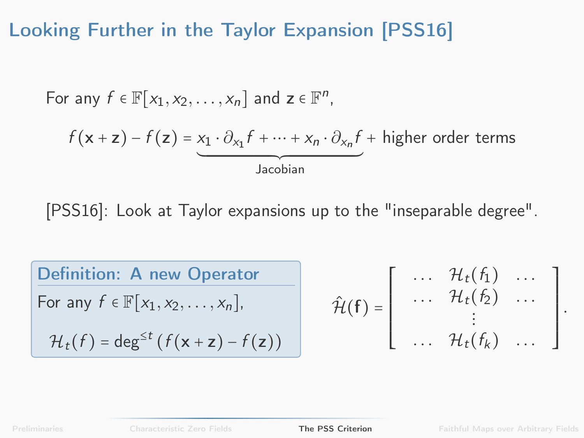For any 
$$
f \in \mathbb{F}[x_1, x_2, ..., x_n]
$$
 and  $z \in \mathbb{F}^n$ ,  
\n
$$
f(x + z) - f(z) = x_1 \cdot \partial_{x_1} f + \dots + x_n \cdot \partial_{x_n} f + \text{higher order terms}
$$
\nJacobian

[\[PSS16\]](#page-92-0): Look at Taylor expansions up to the "inseparable degree".

| Definition: A new Operator                       |                                                                                                                                                                                                |
|--------------------------------------------------|------------------------------------------------------------------------------------------------------------------------------------------------------------------------------------------------|
| For any $f \in \mathbb{F}[x_1, x_2, ..., x_n]$ , | $\hat{\mathcal{H}}(f) = \begin{bmatrix} ... & \mathcal{H}_t(f_1) & ... \\ ... & \mathcal{H}_t(f_2) & ... \\ \vdots & \vdots & \ddots & \vdots \\ ... & \mathcal{H}_t(f_k) & ... \end{bmatrix}$ |

.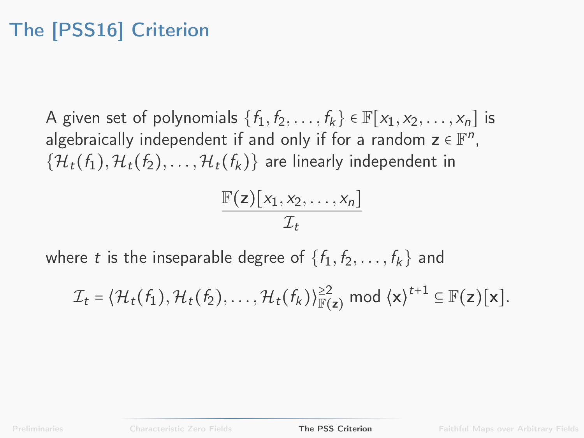# The [\[PSS16\]](#page-92-0) Criterion

A given set of polynomials  $\{f_1, f_2, \ldots, f_k\} \in \mathbb{F}[x_1, x_2, \ldots, x_n]$  is algebraically independent if and only if for a random  $\mathsf{z} \in \mathbb{F}^n$ ,  $\{\mathcal{H}_t(f_1), \mathcal{H}_t(f_2), \ldots, \mathcal{H}_t(f_k)\}\$ are linearly independent in

$$
\frac{\mathbb{F}(z)[x_1,x_2,\ldots,x_n]}{\mathcal{I}_t}
$$

where t is the inseparable degree of  $\{f_1, f_2, \ldots, f_k\}$  and

 $\mathcal{I}_t = \langle \mathcal{H}_t(f_1), \mathcal{H}_t(f_2), \ldots, \mathcal{H}_t(f_k) \rangle_{\mathbb{F}(\mathsf{z})}^{\geq 2} \ \ \text{mod} \ \langle \mathsf{x} \rangle^{t+1} \subseteq \mathbb{F}(\mathsf{z})[\mathsf{x}].$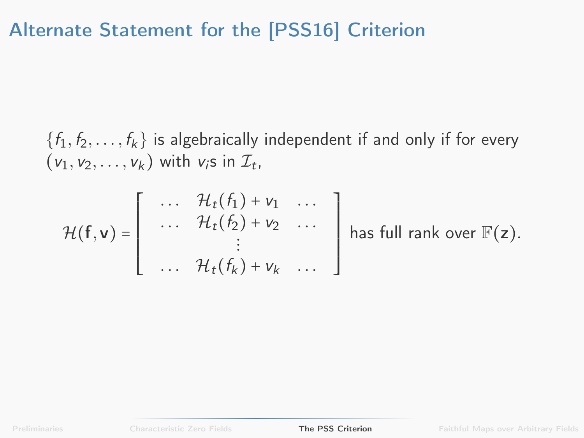## Alternate Statement for the [\[PSS16\]](#page-92-0) Criterion

 $\{f_1, f_2, \ldots, f_k\}$  is algebraically independent if and only if for every  $(v_1, v_2, \ldots, v_k)$  with  $v_i$ s in  $\mathcal{I}_t$ ,

$$
\mathcal{H}(\mathbf{f}, \mathbf{v}) = \left[\begin{array}{ccc} \cdots & \mathcal{H}_t(f_1) + v_1 & \cdots \\ \cdots & \mathcal{H}_t(f_2) + v_2 & \cdots \\ \vdots & & \vdots \\ \cdots & \mathcal{H}_t(f_k) + v_k & \cdots \end{array}\right] \text{ has full rank over } \mathbb{F}(\mathbf{z}).
$$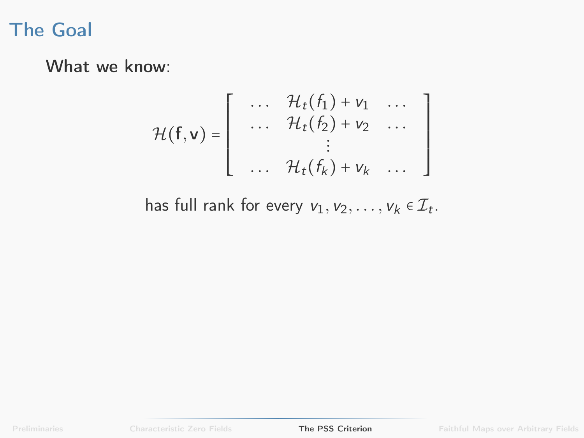### The Goal

What we know:

$$
\mathcal{H}(\mathbf{f}, \mathbf{v}) = \left[ \begin{array}{ccc} \cdots & \mathcal{H}_t(f_1) + v_1 & \cdots \\ \cdots & \mathcal{H}_t(f_2) + v_2 & \cdots \\ \vdots & & \vdots \\ \cdots & \mathcal{H}_t(f_k) + v_k & \cdots \end{array} \right]
$$

has full rank for every  $v_1, v_2, \ldots, v_k \in \mathcal{I}_t$ .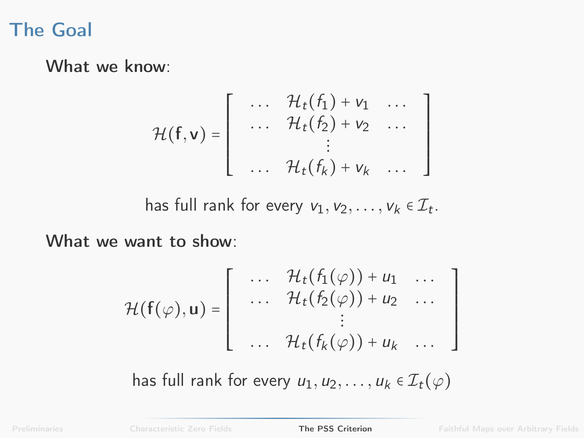### The Goal

What we know:

$$
\mathcal{H}(\mathbf{f}, \mathbf{v}) = \left[ \begin{array}{ccc} \cdots & \mathcal{H}_t(f_1) + v_1 & \cdots \\ \cdots & \mathcal{H}_t(f_2) + v_2 & \cdots \\ \vdots & & \vdots \\ \cdots & \mathcal{H}_t(f_k) + v_k & \cdots \end{array} \right]
$$

has full rank for every  $v_1, v_2, \ldots, v_k \in \mathcal{I}_t$ .

What we want to show:

$$
\mathcal{H}(\mathbf{f}(\varphi), \mathbf{u}) = \left[ \begin{array}{ccc} \cdots & \mathcal{H}_t(f_1(\varphi)) + u_1 & \cdots \\ \cdots & \mathcal{H}_t(f_2(\varphi)) + u_2 & \cdots \\ \vdots & & \vdots \\ \cdots & \mathcal{H}_t(f_k(\varphi)) + u_k & \cdots \end{array} \right]
$$

has full rank for every  $u_1, u_2, \ldots, u_k \in \mathcal{I}_t(\varphi)$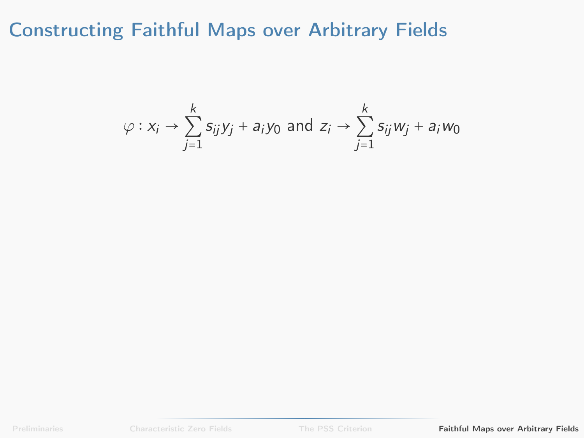$$
\varphi: x_i \to \sum_{j=1}^k s_{ij} y_j + a_i y_0 \text{ and } z_i \to \sum_{j=1}^k s_{ij} w_j + a_i w_0
$$

<span id="page-49-0"></span>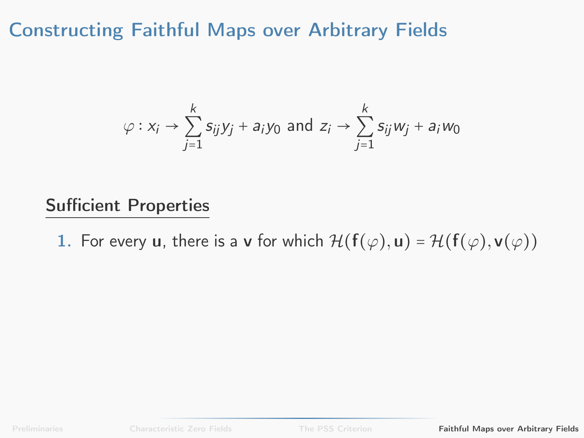$$
\varphi: x_i \to \sum_{j=1}^k s_{ij}y_j + a_iy_0 \text{ and } z_i \to \sum_{j=1}^k s_{ij}w_j + a_iw_0
$$

#### Sufficient Properties

1. For every u, there is a v for which  $\mathcal{H}(\mathbf{f}(\varphi), \mathbf{u}) = \mathcal{H}(\mathbf{f}(\varphi), \mathbf{v}(\varphi))$ 

[Preliminaries](#page-1-0) [Characteristic Zero Fields](#page-22-0) [The PSS Criterion](#page-34-0) [Faithful Maps over Arbitrary Fields](#page-49-0)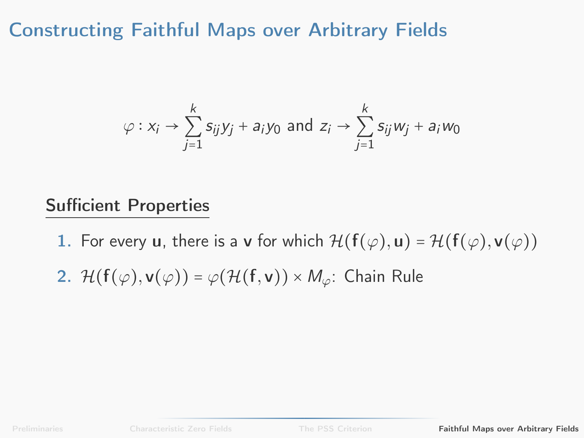$$
\varphi: x_i \to \sum_{j=1}^k s_{ij}y_j + a_iy_0 \text{ and } z_i \to \sum_{j=1}^k s_{ij}w_j + a_iw_0
$$

#### Sufficient Properties

1. For every u, there is a v for which  $\mathcal{H}(\mathbf{f}(\varphi), \mathbf{u}) = \mathcal{H}(\mathbf{f}(\varphi), \mathbf{v}(\varphi))$ 

2. 
$$
\mathcal{H}(\mathbf{f}(\varphi), \mathbf{v}(\varphi)) = \varphi(\mathcal{H}(\mathbf{f}, \mathbf{v})) \times M_{\varphi}
$$
: Chain Rule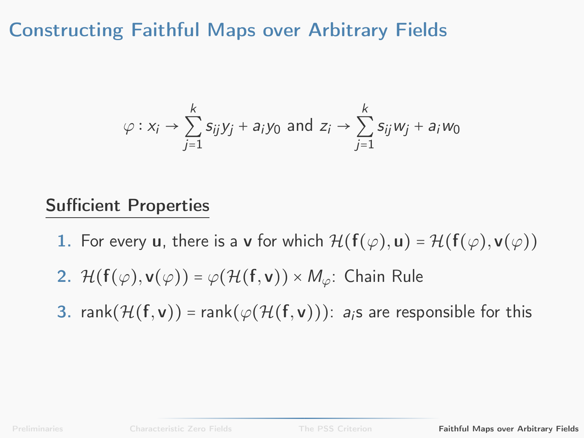$$
\varphi: x_i \to \sum_{j=1}^k s_{ij}y_j + a_iy_0 \text{ and } z_i \to \sum_{j=1}^k s_{ij}w_j + a_iw_0
$$

#### Sufficient Properties

- 1. For every u, there is a v for which  $\mathcal{H}(\mathbf{f}(\varphi), \mathbf{u}) = \mathcal{H}(\mathbf{f}(\varphi), \mathbf{v}(\varphi))$
- 2.  $\mathcal{H}(\mathsf{f}(\varphi), \mathsf{v}(\varphi)) = \varphi(\mathcal{H}(\mathsf{f}, \mathsf{v})) \times M_{\varphi}$ : Chain Rule
- 3. rank $(\mathcal{H}(f, v))$  = rank $(\varphi(\mathcal{H}(f, v)))$ : a<sub>i</sub>s are responsible for this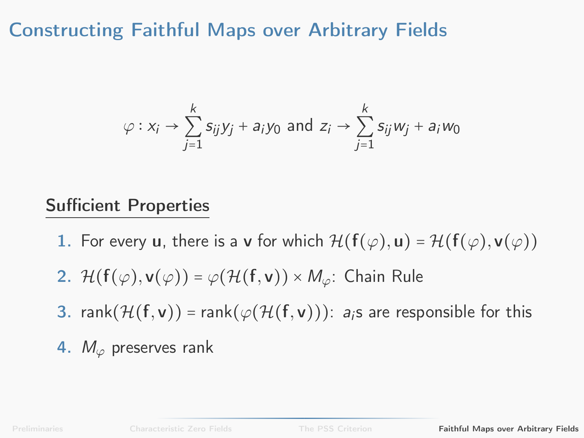$$
\varphi: x_i \to \sum_{j=1}^k s_{ij}y_j + a_iy_0 \text{ and } z_i \to \sum_{j=1}^k s_{ij}w_j + a_iw_0
$$

#### Sufficient Properties

- 1. For every u, there is a v for which  $\mathcal{H}(\mathbf{f}(\varphi), \mathbf{u}) = \mathcal{H}(\mathbf{f}(\varphi), \mathbf{v}(\varphi))$
- 2.  $\mathcal{H}(\mathsf{f}(\varphi), \mathsf{v}(\varphi)) = \varphi(\mathcal{H}(\mathsf{f}, \mathsf{v})) \times M_{\varphi}$ : Chain Rule
- 3. rank $(\mathcal{H}(f, v))$  = rank $(\varphi(\mathcal{H}(f, v)))$ : a<sub>i</sub>s are responsible for this
- 4.  $M_{\varphi}$  preserves rank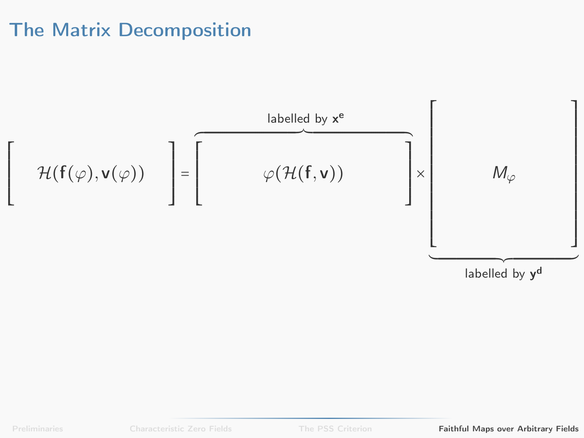### The Matrix Decomposition

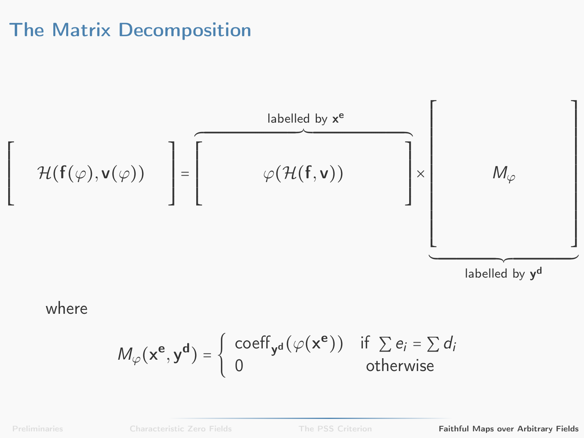### The Matrix Decomposition



where

$$
M_{\varphi}(\mathbf{x}^{\mathbf{e}}, \mathbf{y}^{\mathbf{d}}) = \begin{cases} \text{coeff}_{\mathbf{y}^{\mathbf{d}}}(\varphi(\mathbf{x}^{\mathbf{e}})) & \text{if } \sum e_i = \sum d_i \\ 0 & \text{otherwise} \end{cases}
$$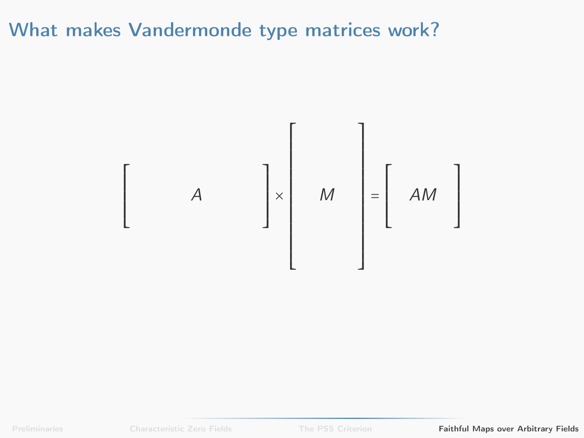

[Preliminaries](#page-1-0) **[Characteristic Zero Fields](#page-22-0)** [The PSS Criterion](#page-34-0) **[Faithful Maps over Arbitrary Fields](#page-49-0)**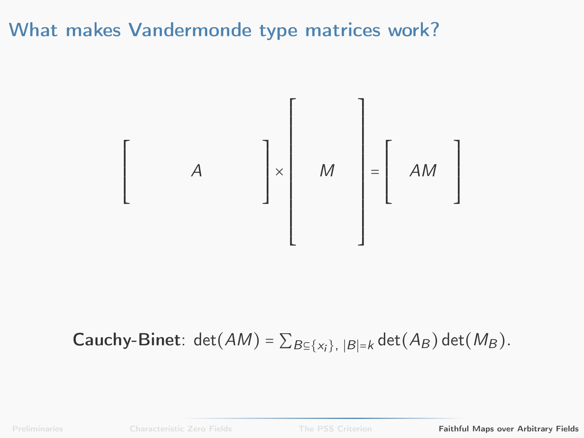

**Cauchy-Binet:** det( $AM$ ) =  $\sum_{B \subseteq \{x_i\}, |B| = k}$  det( $A_B$ ) det( $M_B$ ).

[Preliminaries](#page-1-0) **[Characteristic Zero Fields](#page-22-0)** [The PSS Criterion](#page-34-0) **[Faithful Maps over Arbitrary Fields](#page-49-0)**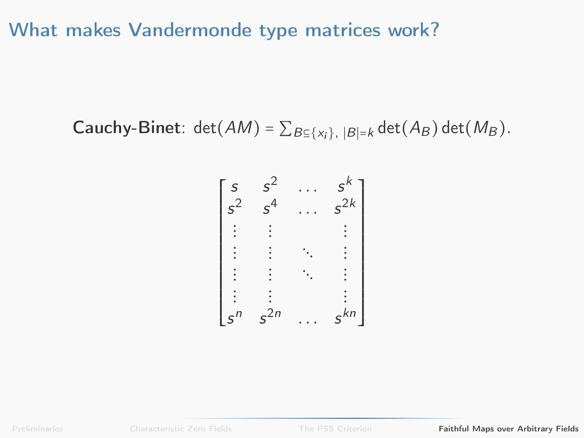**Cauchy-Binet**:  $det(AM) = \sum_{B \subseteq \{x_i\}, |B|=k} det(A_B) det(M_B)$ .

$$
\begin{bmatrix} s & s^{2} & \cdots & s^{k} \\ s^{2} & s^{4} & \cdots & s^{2k} \\ \vdots & \vdots & \ddots & \vdots \\ s^{n} & \cdots & \vdots & \vdots \\ s^{n} & s^{2n} & \cdots & s^{kn} \end{bmatrix}
$$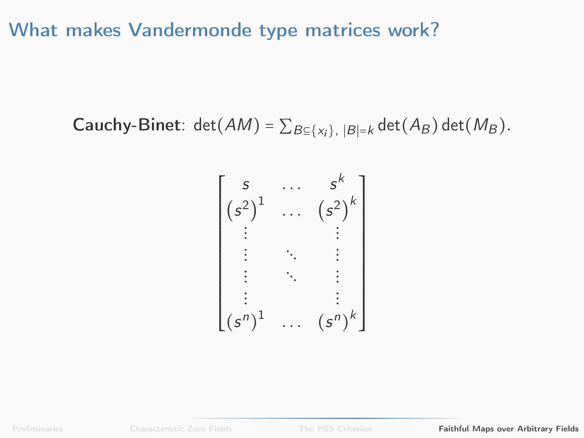**Cauchy-Binet**: 
$$
\det(AM) = \sum_{B \subseteq \{x_i\}, |B|=k} \det(A_B) \det(M_B)
$$
.

$$
\begin{bmatrix} s & \cdots & s^{k} \\ (s^{2})^{1} & \cdots & (s^{2})^{k} \\ \vdots & & \ddots & \vdots \\ s & \ddots & & \vdots \\ \vdots & & \ddots & \vdots \\ (s^{n})^{1} & \cdots & (s^{n})^{k} \end{bmatrix}
$$

[Preliminaries](#page-1-0) [Characteristic Zero Fields](#page-22-0) [The PSS Criterion](#page-34-0) [Faithful Maps over Arbitrary Fields](#page-49-0)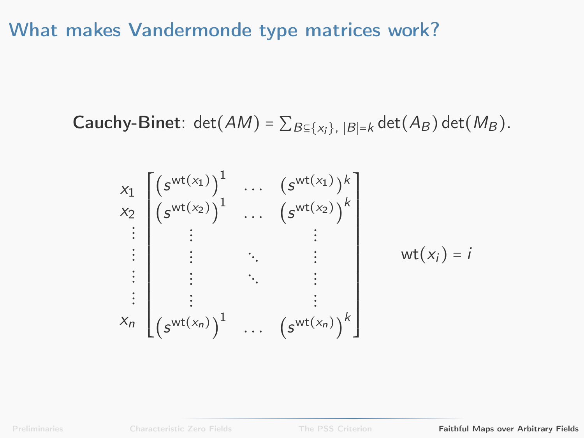**Cauchy-Binet**:  $det(AM) = \sum_{B \subseteq \{x_i\}, |B|=k} det(A_B) det(M_B)$ .

$$
x_1 \begin{bmatrix} \left(s^{wt(x_1)}\right)^1 & \dots & \left(s^{wt(x_1)}\right)^k \\ \left(s^{wt(x_2)}\right)^1 & \dots & \left(s^{wt(x_2)}\right)^k \\ \vdots & \vdots & \ddots & \vdots \\ \vdots & \ddots & \vdots & \vdots \\ \vdots & \ddots & \vdots \\ \vdots & \ddots & \vdots \\ \vdots & \ddots & \vdots \\ \vdots & \ddots & \vdots \\ \left(s^{wt(x_n)}\right)^1 & \dots & \left(s^{wt(x_n)}\right)^k \end{bmatrix} \quad wt(x_i) = i
$$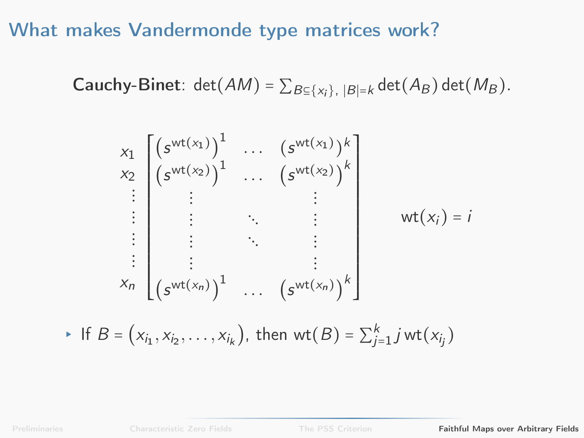**Cauchy-Binet**:  $det(AM) = \sum_{B \subseteq \{x_i\}, |B|=k} det(A_B) det(M_B)$ .

$$
x_1 \begin{bmatrix} (s^{\text{wt}(x_1)})^1 & \dots & (s^{\text{wt}(x_1)})^k \\ (s^{\text{wt}(x_2)})^1 & \dots & (s^{\text{wt}(x_2)})^k \\ \vdots & \vdots & \ddots & \vdots \\ \vdots & \vdots & \ddots & \vdots \\ \vdots & \vdots & \ddots & \vdots \\ \vdots & \vdots & \ddots & \vdots \\ \vdots & \vdots & \ddots & \vdots \\ (s^{\text{wt}(x_n)})^1 & \dots & (s^{\text{wt}(x_n)})^k \end{bmatrix} \quad \text{wt}(x_i) = i
$$

► If  $B = (x_{i_1}, x_{i_2}, ..., x_{i_k})$ , then wt $(B) = \sum_{j=1}^{k} jwt(x_{i_j})$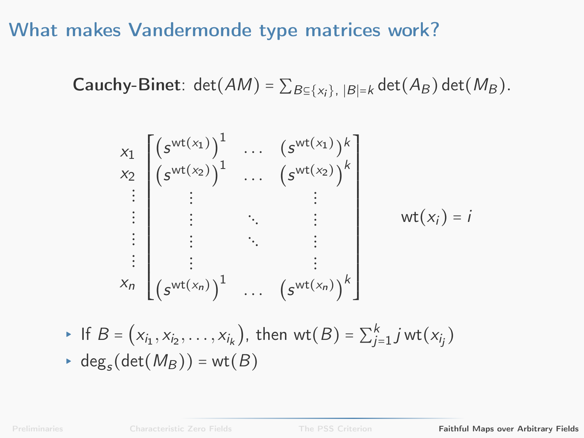**Cauchy-Binet**:  $det(AM) = \sum_{B \subseteq \{x_i\}, |B|=k} det(A_B) det(M_B)$ .

$$
x_{1} \begin{bmatrix} (s^{\text{wt}(x_{1})})^{1} & \cdots & (s^{\text{wt}(x_{1})})^{k} \\ (s^{\text{wt}(x_{2})})^{1} & \cdots & (s^{\text{wt}(x_{2})})^{k} \\ \vdots & \vdots & \ddots & \vdots \\ \vdots & \vdots & \ddots & \vdots \\ \vdots & \vdots & \ddots & \vdots \\ \vdots & \vdots & \ddots & \vdots \\ (s^{\text{wt}(x_{n})})^{1} & \cdots & (s^{\text{wt}(x_{n})})^{k} \end{bmatrix} \quad \text{wt}(x_{i}) = i
$$

• If 
$$
B = (x_{i_1}, x_{i_2}, \dots, x_{i_k})
$$
, then  $wt(B) = \sum_{j=1}^k j wt(x_{i_j})$   
\n•  $deg_s(det(M_B)) = wt(B)$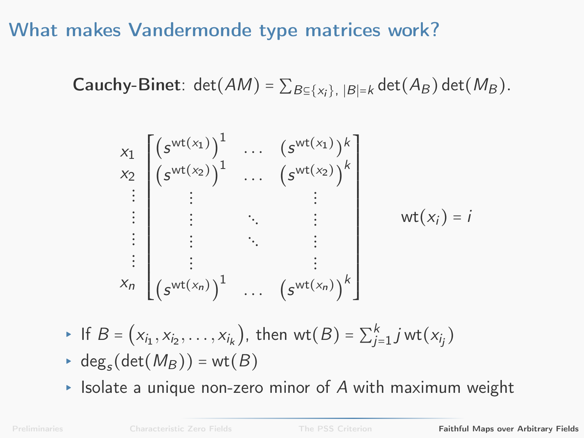**Cauchy-Binet:** det( $AM$ ) =  $\sum_{B \subseteq \{x_i\}, |B|=k}$  det( $A_B$ ) det( $M_B$ ).

$$
x_{1} \begin{bmatrix} (s^{\text{wt}(x_{1})})^{1} & \cdots & (s^{\text{wt}(x_{1})})^{k} \\ x_{2} \begin{bmatrix} (s^{\text{wt}(x_{2})})^{1} & \cdots & (s^{\text{wt}(x_{2})})^{k} \\ \vdots & \vdots & \ddots & \vdots \\ \vdots & \vdots & \ddots & \vdots \\ \vdots & \vdots & \ddots & \vdots \\ \vdots & \vdots & \ddots & \vdots \\ \vdots & \vdots & \ddots & \vdots \\ (s^{\text{wt}(x_{n})})^{1} & \cdots & (s^{\text{wt}(x_{n})})^{k} \end{bmatrix} \quad \text{wt}(x_{j}) = i
$$

• If 
$$
B = (x_{i_1}, x_{i_2}, \dots, x_{i_k})
$$
, then  $wt(B) = \sum_{j=1}^k jwt(x_{i_j})$ 

$$
\text{ } \cdot \text{ deg}_s(\det(M_B)) = \text{wt}(B)
$$

 $\triangleright$  Isolate a unique non-zero minor of  $A$  with maximum weight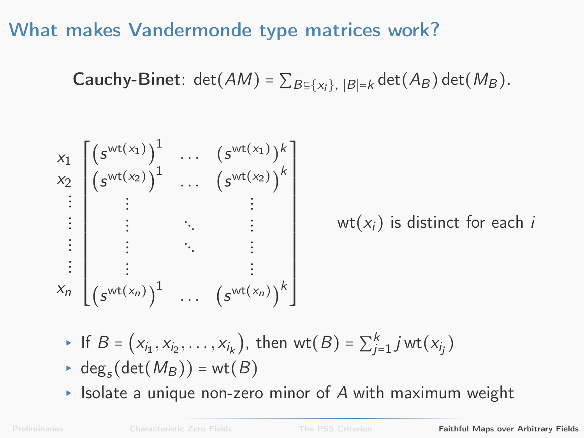**Cauchy-Binet**:  $det(AM) = \sum_{B \subseteq \{x_i\}, |B|=k} det(A_B) det(M_B)$ .

$$
x_1 \begin{bmatrix} \left(s^{wt(x_1)}\right)^1 & \cdots & \left(s^{wt(x_1)}\right)^k \\ x_2 \begin{bmatrix} \left(s^{wt(x_2)}\right)^1 & \cdots & \left(s^{wt(x_2)}\right)^k \\ \vdots & \vdots & \ddots & \vdots \\ \vdots & \ddots & \vdots & \vdots \\ \vdots & \ddots & \vdots \\ \vdots & \ddots & \vdots \\ \vdots & \ddots & \vdots \\ \vdots & \ddots & \vdots \\ \left(s^{wt(x_n)}\right)^1 & \cdots & \left(s^{wt(x_n)}\right)^k \end{bmatrix} \quad \text{wt}(x_i) \text{ is distinct for each } i
$$

- ► If  $B = (x_{i_1}, x_{i_2}, ..., x_{i_k})$ , then wt $(B) = \sum_{j=1}^{k} jwt(x_{i_j})$
- $\blacktriangleright$  deg<sub>s</sub>(det( $M_B$ )) = wt( $B$ )
- $\triangleright$  Isolate a unique non-zero minor of A with maximum weight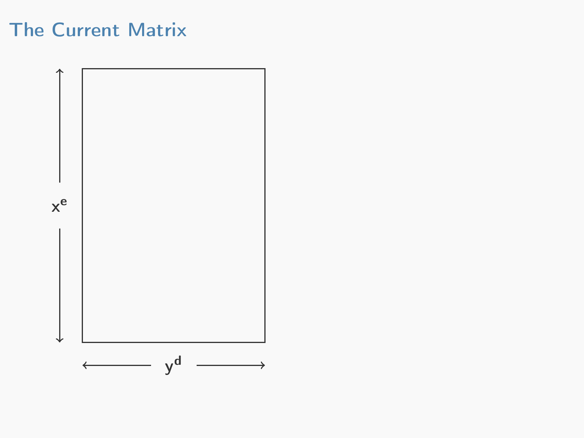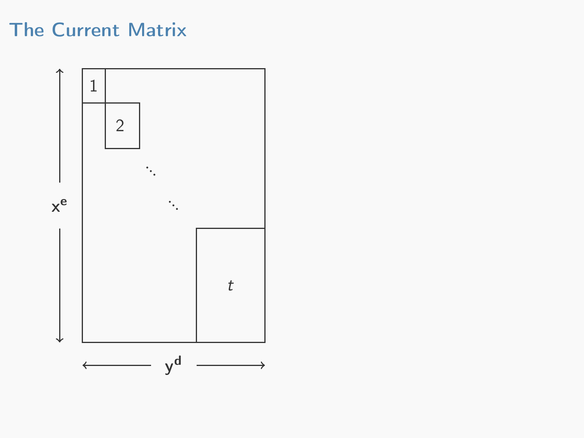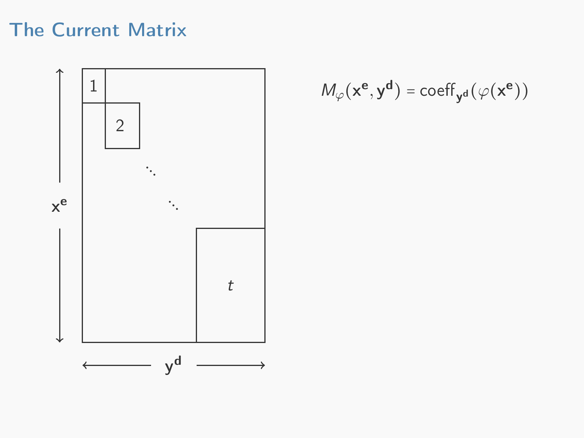

$$
M_\varphi(\mathbf{x}^\mathbf{e}, \mathbf{y}^\mathbf{d}) = \mathrm{coeff}_{\mathbf{y}^\mathbf{d}}(\varphi(\mathbf{x}^\mathbf{e}))
$$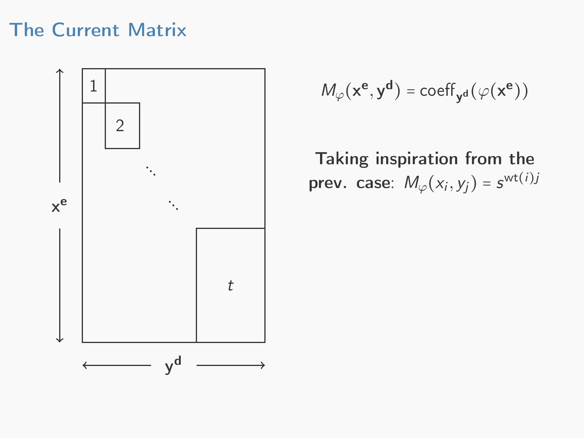

$$
M_\varphi(\mathbf{x}^\mathbf{e}, \mathbf{y}^\mathbf{d}) = \text{coeff}_{\mathbf{y}^\mathbf{d}}(\varphi(\mathbf{x}^\mathbf{e}))
$$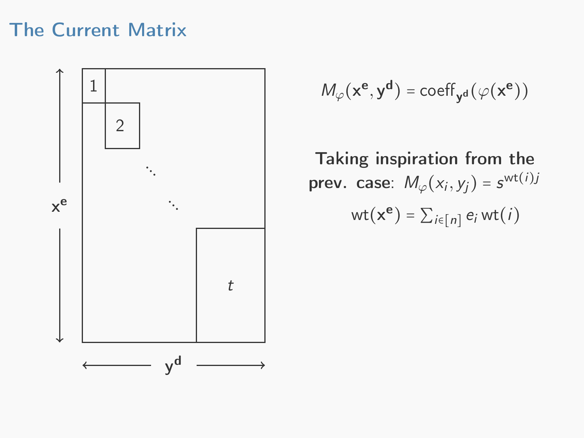

$$
M_\varphi(\mathbf{x}^\mathbf{e}, \mathbf{y}^\mathbf{d}) = \text{coeff}_{\mathbf{y}^\mathbf{d}}(\varphi(\mathbf{x}^\mathbf{e}))
$$

$$
\mathsf{wt}(\mathsf{x}^\mathsf{e}) = \sum_{i\in[n]} e_i \mathsf{wt}(i)
$$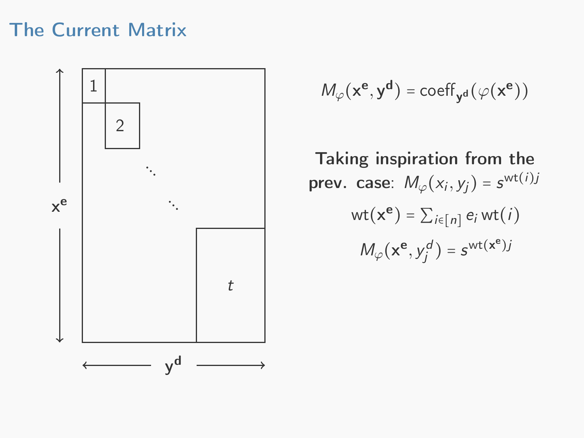

$$
M_\varphi(\mathbf{x}^\mathbf{e}, \mathbf{y}^\mathbf{d}) = \text{coeff}_{\mathbf{y}^\mathbf{d}}(\varphi(\mathbf{x}^\mathbf{e}))
$$

$$
wt(\mathbf{x}^{\mathbf{e}}) = \sum_{i \in [n]} e_i wt(i)
$$

$$
M_{\varphi}(\mathbf{x}^{\mathbf{e}}, y_j^d) = s^{wt(\mathbf{x}^{\mathbf{e}})j}
$$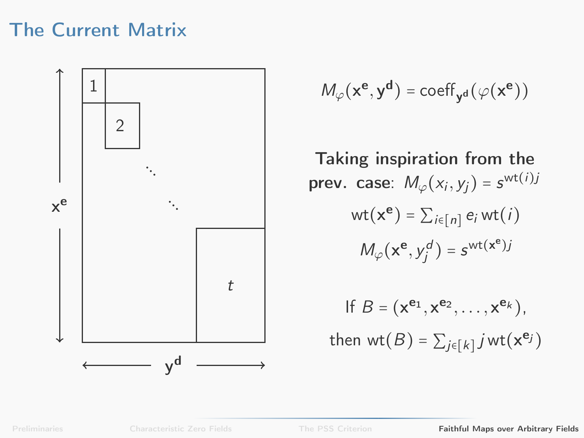

$$
\mathit{M}_{\varphi}(x^e,y^d)=\text{coeff}_{y^d} \big(\varphi(x^e)\big)
$$

$$
wt(\mathbf{x}^{\mathbf{e}}) = \sum_{i \in [n]} e_i wt(i)
$$

$$
M_{\varphi}(\mathbf{x}^{\mathbf{e}}, y_j^d) = s^{wt(\mathbf{x}^{\mathbf{e}})j}
$$

If 
$$
B = (\mathbf{x}^{\mathbf{e}_1}, \mathbf{x}^{\mathbf{e}_2}, \dots, \mathbf{x}^{\mathbf{e}_k}),
$$
  
then wt $(B) = \sum_{j \in [k]} j$  wt $(\mathbf{x}^{\mathbf{e}_j})$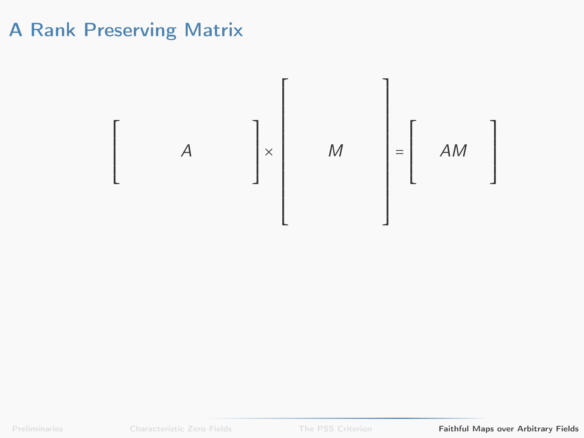$\begin{bmatrix} \frac{1}{2} & \frac{1}{2} & \frac{1}{2} \\ \frac{1}{2} & \frac{1}{2} & \frac{1}{2} \\ \frac{1}{2} & \frac{1}{2} & \frac{1}{2} \\ \frac{1}{2} & \frac{1}{2} & \frac{1}{2} \\ \frac{1}{2} & \frac{1}{2} & \frac{1}{2} \\ \frac{1}{2} & \frac{1}{2} & \frac{1}{2} \\ \frac{1}{2} & \frac{1}{2} & \frac{1}{2} \\ \frac{1}{2} & \frac{1}{2} & \frac{1}{2} \\ \frac{1}{2} & \frac{1}{2} & \frac{1}{2$ A  $\begin{bmatrix} \frac{1}{2} & \frac{1}{2} \\ \frac{1}{2} & \frac{1}{2} \\ \frac{1}{2} & \frac{1}{2} \end{bmatrix}$ × ⎡ ⎢ ⎢ ⎢ ⎢ ⎢ ⎢ ⎢ ⎢ ⎢ ⎢ ⎢ ⎢ ⎢ ⎢ ⎣ M ⎤ ⎥ ⎥ ⎥ ⎥ ⎥ ⎥ ⎥ ⎥ ⎥ ⎥ ⎥ ⎥ ⎥ ⎥ ⎦ =  $\begin{bmatrix} \frac{1}{2} & \frac{1}{2} & \frac{1}{2} \\ \frac{1}{2} & \frac{1}{2} & \frac{1}{2} \\ \frac{1}{2} & \frac{1}{2} & \frac{1}{2} \\ \frac{1}{2} & \frac{1}{2} & \frac{1}{2} \\ \frac{1}{2} & \frac{1}{2} & \frac{1}{2} \\ \frac{1}{2} & \frac{1}{2} & \frac{1}{2} \\ \frac{1}{2} & \frac{1}{2} & \frac{1}{2} \\ \frac{1}{2} & \frac{1}{2} & \frac{1}{2} \\ \frac{1}{2} & \frac{1}{2} & \frac{1}{2$ AM ⎤ ⎥ ⎥ ⎥ ⎥ ⎥ ⎦

[Preliminaries](#page-1-0) [Characteristic Zero Fields](#page-22-0) [The PSS Criterion](#page-34-0) [Faithful Maps over Arbitrary Fields](#page-49-0)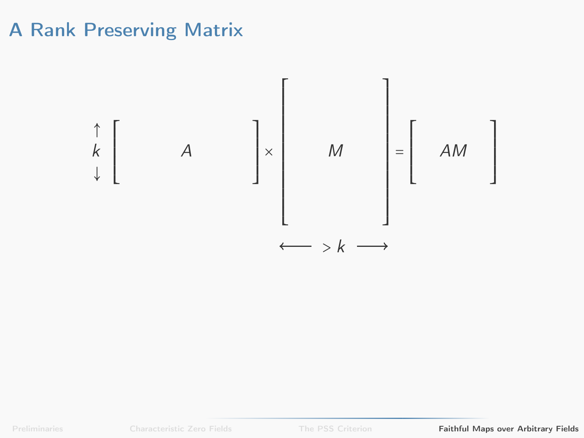

[Preliminaries](#page-1-0) [Characteristic Zero Fields](#page-22-0) [The PSS Criterion](#page-34-0) [Faithful Maps over Arbitrary Fields](#page-49-0)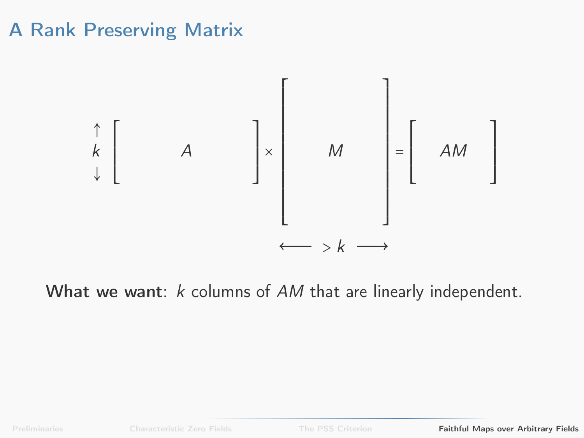

What we want: k columns of AM that are linearly independent.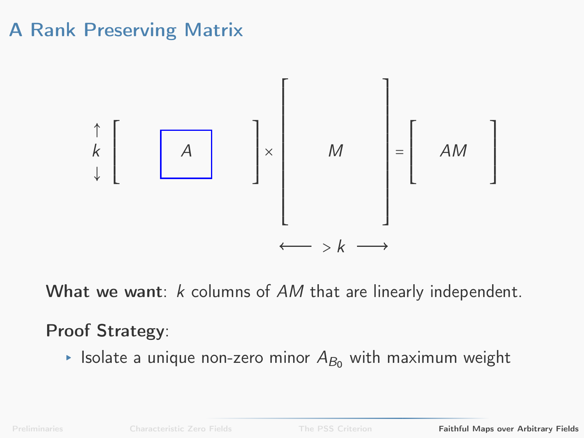

What we want:  $k$  columns of  $AM$  that are linearly independent.

#### Proof Strategy:

**Example 2** Isolate a unique non-zero minor  $A_{B_0}$  with maximum weight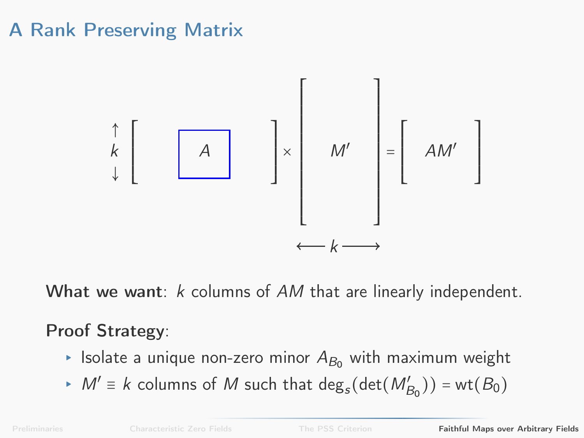

What we want:  $k$  columns of  $AM$  that are linearly independent.

#### Proof Strategy:

- ► Isolate a unique non-zero minor  $A_{B_0}$  with maximum weight
- ►  $M' \equiv k$  columns of M such that  $\deg_s(\det(M'_{B_0})) = \text{wt}(B_0)$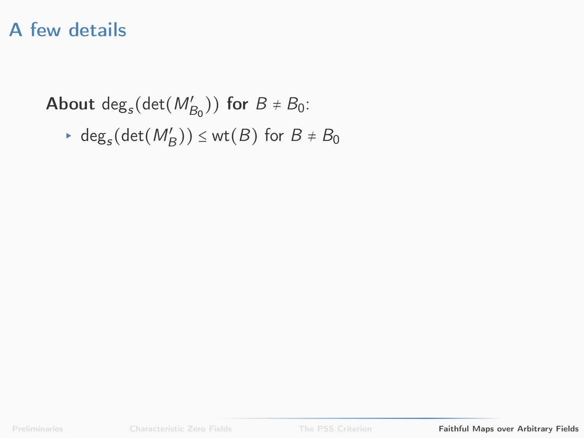# A few details

About  $deg_s(det(M'_{B_0}))$  for  $B \neq B_0$ :

• 
$$
\deg_s(\det(M'_B)) \leq \text{wt}(B)
$$
 for  $B \neq B_0$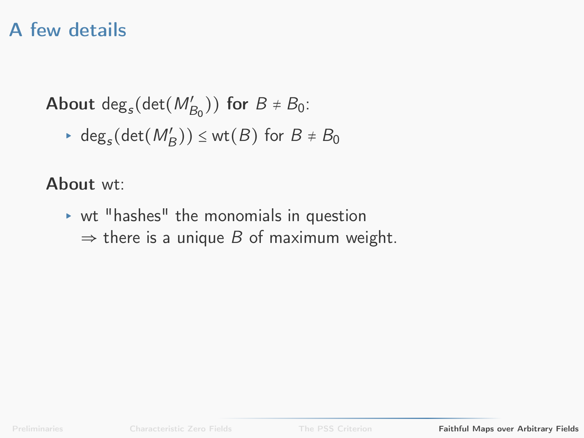# A few details

About  $deg_s(det(M'_{B_0}))$  for  $B \neq B_0$ :

► deg<sub>s</sub>(det( $M'_{B}$ ))  $\leq$  wt( $B$ ) for  $B \neq B_0$ 

About wt:

▸ wt "hashes" the monomials in question  $\Rightarrow$  there is a unique B of maximum weight.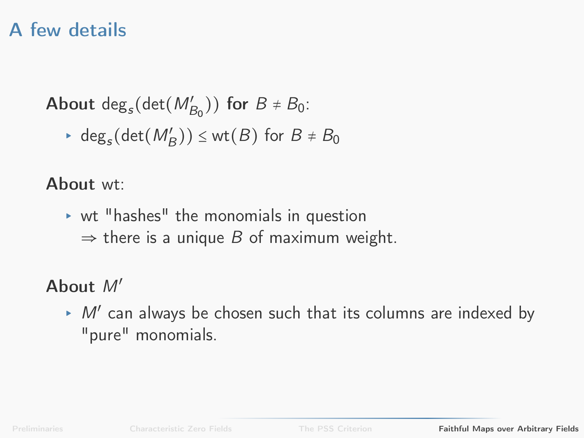# A few details

About  $deg_s(det(M'_{B_0}))$  for  $B \neq B_0$ :

► deg<sub>s</sub>(det( $M'_{B}$ ))  $\leq$  wt( $B$ ) for  $B \neq B_0$ 

### About wt:

- ▸ wt "hashes" the monomials in question
	- $\Rightarrow$  there is a unique B of maximum weight.

### About M′

 $\triangleright$  M' can always be chosen such that its columns are indexed by "pure" monomials.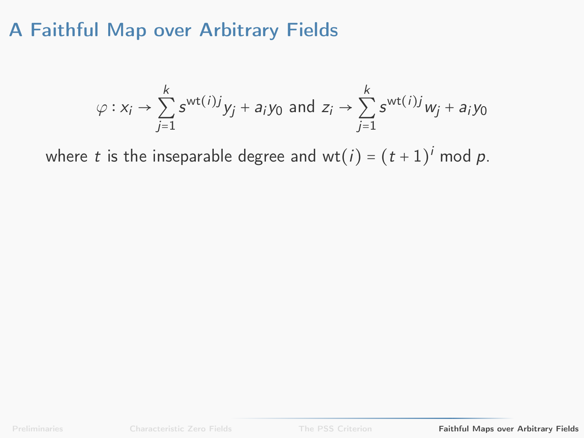$$
\varphi : x_i \to \sum_{j=1}^k s^{wt(i)j} y_j + a_i y_0 \text{ and } z_i \to \sum_{j=1}^k s^{wt(i)j} w_j + a_i y_0
$$

where  $t$  is the inseparable degree and wt $(i) = (t+1)^i$  mod  $p$ .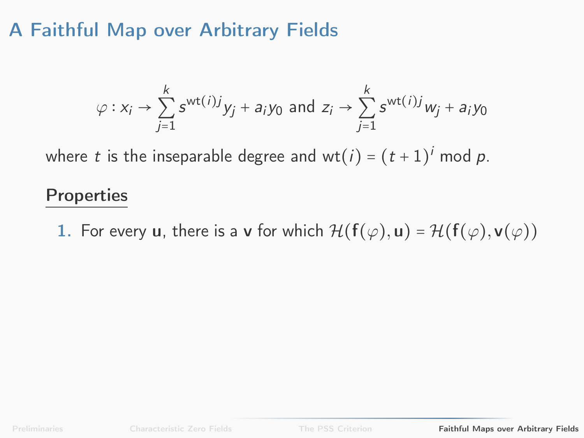$$
\varphi : x_i \to \sum_{j=1}^k s^{wt(i)j} y_j + a_i y_0 \text{ and } z_i \to \sum_{j=1}^k s^{wt(i)j} w_j + a_i y_0
$$

where  $t$  is the inseparable degree and wt $(i) = (t+1)^i$  mod  $p$ .

#### **Properties**

1. For every u, there is a v for which  $\mathcal{H}(\mathbf{f}(\varphi), \mathbf{u}) = \mathcal{H}(\mathbf{f}(\varphi), \mathbf{v}(\varphi))$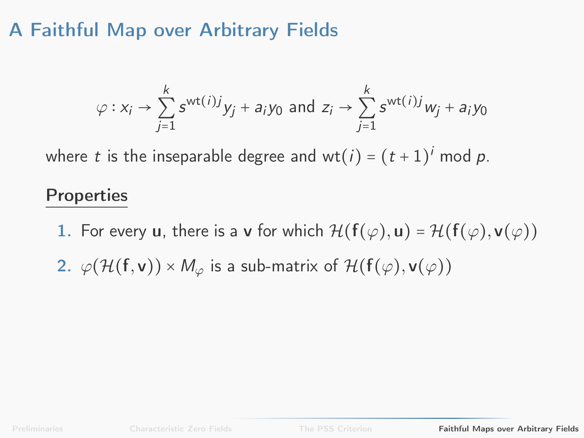$$
\varphi: x_i \to \sum_{j=1}^k s^{wt(i)j} y_j + a_i y_0 \text{ and } z_i \to \sum_{j=1}^k s^{wt(i)j} w_j + a_i y_0
$$

where  $t$  is the inseparable degree and wt $(i) = (t+1)^i$  mod  $p$ .

#### **Properties**

- 1. For every u, there is a v for which  $\mathcal{H}(\mathbf{f}(\varphi), \mathbf{u}) = \mathcal{H}(\mathbf{f}(\varphi), \mathbf{v}(\varphi))$
- 2.  $\varphi(\mathcal{H}(\mathbf{f}, \mathbf{v})) \times M_{\varphi}$  is a sub-matrix of  $\mathcal{H}(\mathbf{f}(\varphi), \mathbf{v}(\varphi))$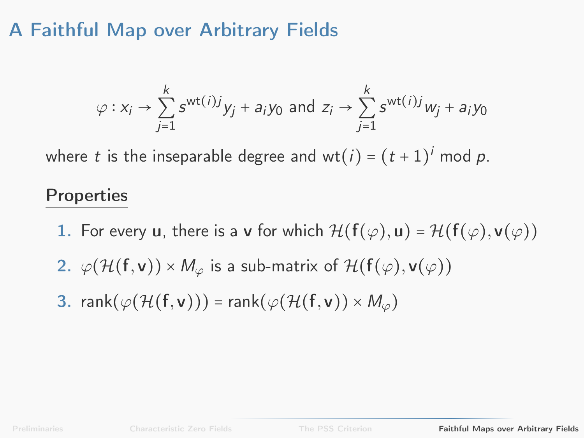$$
\varphi: x_i \to \sum_{j=1}^k s^{wt(i)j} y_j + a_i y_0 \text{ and } z_i \to \sum_{j=1}^k s^{wt(i)j} w_j + a_i y_0
$$

where  $t$  is the inseparable degree and wt $(i) = (t+1)^i$  mod  $p$ .

#### **Properties**

- 1. For every u, there is a v for which  $\mathcal{H}(\mathbf{f}(\varphi), \mathbf{u}) = \mathcal{H}(\mathbf{f}(\varphi), \mathbf{v}(\varphi))$
- 2.  $\varphi(\mathcal{H}(\mathbf{f}, \mathbf{v})) \times M_{\varphi}$  is a sub-matrix of  $\mathcal{H}(\mathbf{f}(\varphi), \mathbf{v}(\varphi))$
- 3. rank $(\varphi(\mathcal{H}(\mathbf{f}, \mathbf{v})))$  = rank $(\varphi(\mathcal{H}(\mathbf{f}, \mathbf{v})) \times M_{\varphi})$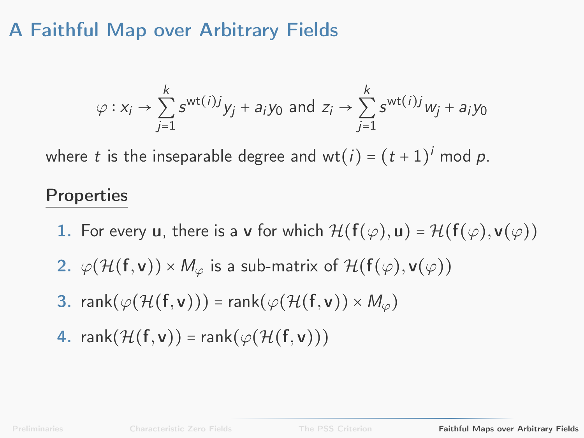$$
\varphi: x_i \to \sum_{j=1}^k s^{wt(i)j} y_j + a_i y_0 \text{ and } z_i \to \sum_{j=1}^k s^{wt(i)j} w_j + a_i y_0
$$

where  $t$  is the inseparable degree and wt $(i) = (t+1)^i$  mod  $p$ .

#### **Properties**

- 1. For every u, there is a v for which  $\mathcal{H}(\mathbf{f}(\varphi), \mathbf{u}) = \mathcal{H}(\mathbf{f}(\varphi), \mathbf{v}(\varphi))$
- 2.  $\varphi(\mathcal{H}(\mathbf{f}, \mathbf{v})) \times M_{\varphi}$  is a sub-matrix of  $\mathcal{H}(\mathbf{f}(\varphi), \mathbf{v}(\varphi))$
- 3. rank( $\varphi(\mathcal{H}(f, v)))$  = rank( $\varphi(\mathcal{H}(f, v)) \times M_{\varphi}$ )
- 4. rank $(\mathcal{H}(f, v))$  = rank $(\varphi(\mathcal{H}(f, v)))$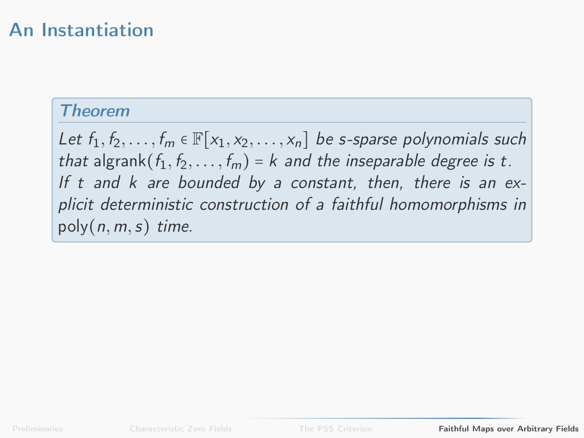### An Instantiation

#### **Theorem**

Let  $f_1, f_2, \ldots, f_m \in \mathbb{F}[x_1, x_2, \ldots, x_n]$  be s-sparse polynomials such that algrank $(f_1, f_2, \ldots, f_m) = k$  and the inseparable degree is t. If t and  $k$  are bounded by a constant, then, there is an explicit deterministic construction of a faithful homomorphisms in  $poly(n, m, s)$  time.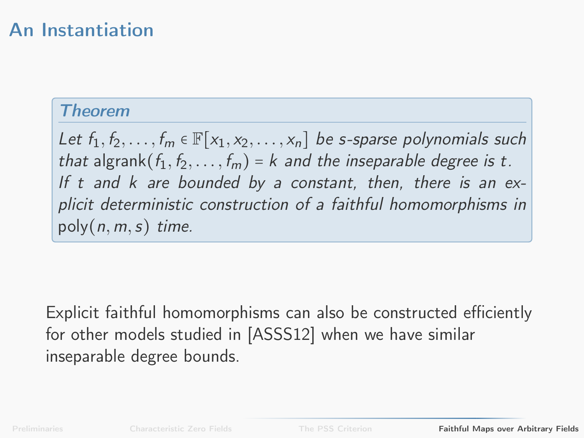### An Instantiation

#### **Theorem**

Let  $f_1, f_2, \ldots, f_m \in \mathbb{F}[x_1, x_2, \ldots, x_n]$  be s-sparse polynomials such that algrank $(f_1, f_2, \ldots, f_m) = k$  and the inseparable degree is t. If t and  $k$  are bounded by a constant, then, there is an explicit deterministic construction of a faithful homomorphisms in  $poly(n, m, s)$  time.

Explicit faithful homomorphisms can also be constructed efficiently for other models studied in [\[ASSS12\]](#page-90-0) when we have similar inseparable degree bounds.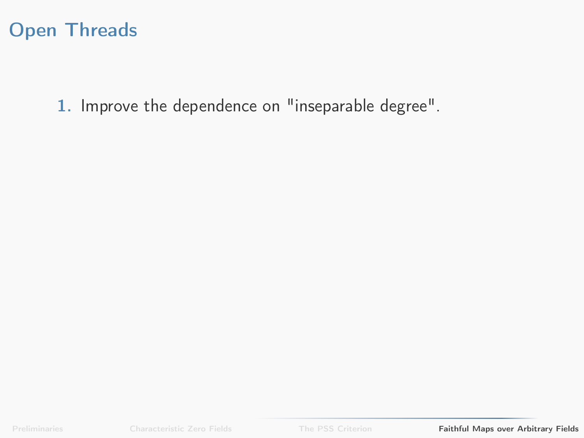### Open Threads

1. Improve the dependence on "inseparable degree".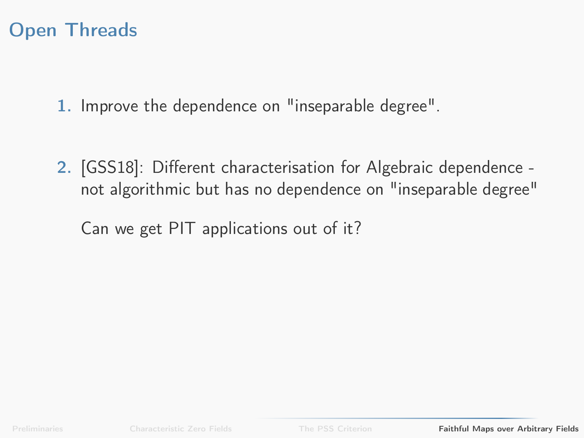### Open Threads

1. Improve the dependence on "inseparable degree".

2. [\[GSS18\]](#page-91-0): Different characterisation for Algebraic dependence not algorithmic but has no dependence on "inseparable degree"

Can we get PIT applications out of it?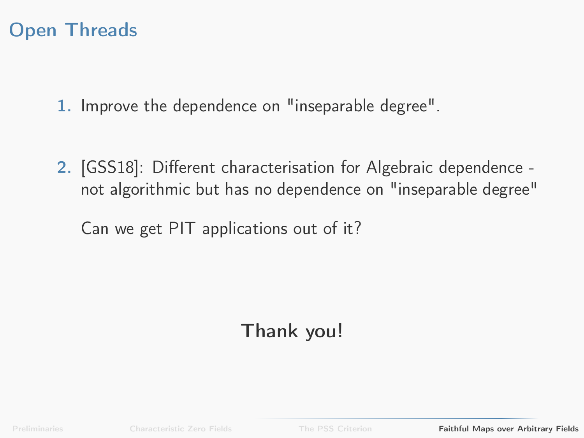### Open Threads

1. Improve the dependence on "inseparable degree".

2. [\[GSS18\]](#page-91-0): Different characterisation for Algebraic dependence not algorithmic but has no dependence on "inseparable degree"

Can we get PIT applications out of it?

# Thank you!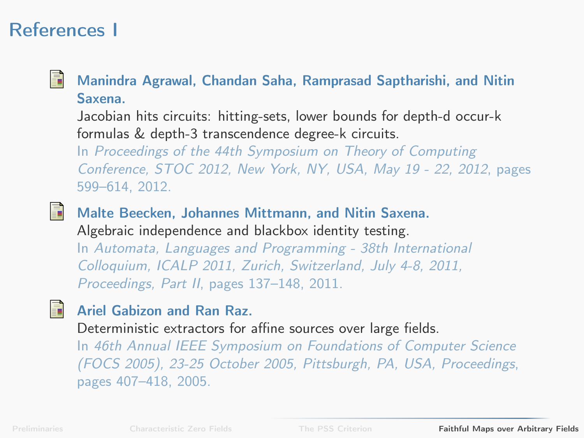### References I

<span id="page-90-0"></span>晶

Manindra Agrawal, Chandan Saha, Ramprasad Saptharishi, and Nitin Saxena.

Jacobian hits circuits: hitting-sets, lower bounds for depth-d occur-k formulas & depth-3 transcendence degree-k circuits.

In Proceedings of the 44th Symposium on Theory of Computing Conference, STOC 2012, New York, NY, USA, May 19 - 22, 2012, pages 599–614, 2012.

螶

昂

Malte Beecken, Johannes Mittmann, and Nitin Saxena. Algebraic independence and blackbox identity testing.

In Automata, Languages and Programming - 38th International Colloquium, ICALP 2011, Zurich, Switzerland, July 4-8, 2011, Proceedings, Part II, pages 137–148, 2011.

### Ariel Gabizon and Ran Raz.

Deterministic extractors for affine sources over large fields.

In 46th Annual IEEE Symposium on Foundations of Computer Science (FOCS 2005), 23-25 October 2005, Pittsburgh, PA, USA, Proceedings, pages 407–418, 2005.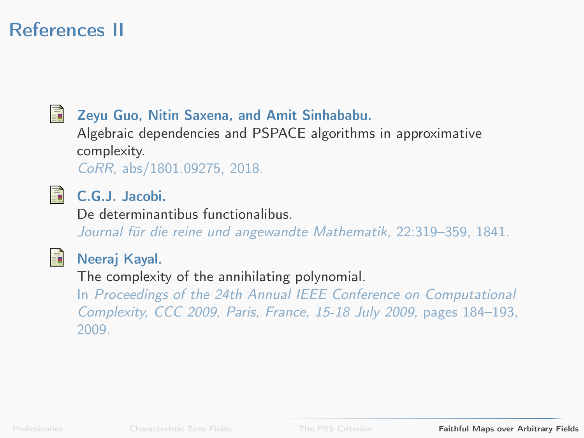# References II

<span id="page-91-0"></span>晶

#### Zeyu Guo, Nitin Saxena, and Amit Sinhababu.

Algebraic dependencies and PSPACE algorithms in approximative complexity.

CoRR, abs/1801.09275, 2018.



#### C.G.J. Jacobi.

De determinantibus functionalibus.

Journal für die reine und angewandte Mathematik, 22:319–359, 1841.



#### Neeraj Kayal.

The complexity of the annihilating polynomial.

In Proceedings of the 24th Annual IEEE Conference on Computational Complexity, CCC 2009, Paris, France, 15-18 July 2009, pages 184–193, 2009.